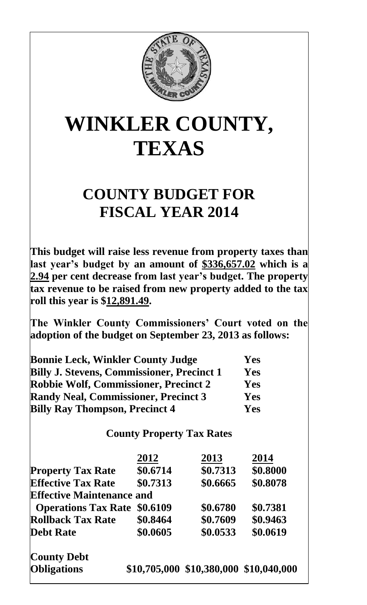

## **WINKLER COUNTY, TEXAS**

## **COUNTY BUDGET FOR FISCAL YEAR 2014**

**This budget will raise less revenue from property taxes than last year's budget by an amount of \$336,657.02 which is a 2.94 per cent decrease from last year's budget. The property tax revenue to be raised from new property added to the tax roll this year is \$12,891.49.**

**The Winkler County Commissioners' Court voted on the adoption of the budget on September 23, 2013 as follows:**

| <b>Bonnie Leck, Winkler County Judge</b>          | <b>Yes</b> |
|---------------------------------------------------|------------|
| <b>Billy J. Stevens, Commissioner, Precinct 1</b> | Yes        |
| <b>Robbie Wolf, Commissioner, Precinct 2</b>      | <b>Yes</b> |
| <b>Randy Neal, Commissioner, Precinct 3</b>       | Yes        |
| <b>Billy Ray Thompson, Precinct 4</b>             | <b>Yes</b> |

**County Property Tax Rates**

|                                  | 2012     | 2013                                   | 2014     |
|----------------------------------|----------|----------------------------------------|----------|
| <b>Property Tax Rate</b>         | \$0.6714 | \$0.7313                               | \$0.8000 |
| <b>Effective Tax Rate</b>        | \$0.7313 | \$0.6665                               | \$0.8078 |
| <b>Effective Maintenance and</b> |          |                                        |          |
| <b>Operations Tax Rate</b>       | \$0.6109 | \$0.6780                               | \$0.7381 |
| <b>Rollback Tax Rate</b>         | \$0.8464 | \$0.7609                               | \$0.9463 |
| <b>Debt Rate</b>                 | \$0.0605 | \$0.0533                               | \$0.0619 |
| <b>County Debt</b>               |          |                                        |          |
| <b>Obligations</b>               |          | \$10,705,000 \$10,380,000 \$10,040,000 |          |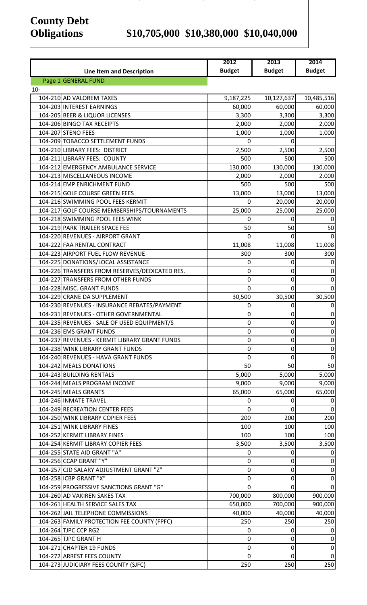# **County Debt**

### **Obligations \$10,705,000 \$10,380,000 \$10,040,000**

|        |                                                                         | 2012                | 2013                | 2014               |
|--------|-------------------------------------------------------------------------|---------------------|---------------------|--------------------|
|        | <b>Line Item and Description</b>                                        | <b>Budget</b>       | <b>Budget</b>       | <b>Budget</b>      |
|        | Page 1 GENERAL FUND                                                     |                     |                     |                    |
| $10 -$ | 104-210 AD VALOREM TAXES                                                | 9,187,225           | 10,127,637          | 10,485,516         |
|        | 104-203 INTEREST EARNINGS                                               | 60,000              | 60,000              | 60,000             |
|        | 104-205 BEER & LIQUOR LICENSES                                          | 3,300               | 3,300               | 3,300              |
|        | 104-206 BINGO TAX RECEIPTS                                              | 2,000               | 2,000               | 2,000              |
|        | 104-207 STENO FEES                                                      | 1,000               | 1,000               | 1,000              |
|        | 104-209 TOBACCO SETTLEMENT FUNDS                                        | 0                   | 0                   |                    |
|        | 104-210 LIBRARY FEES: DISTRICT                                          | 2,500               | 2,500               | 2,500              |
|        | 104-211 LIBRARY FEES: COUNTY                                            | 500                 | 500                 | 500                |
|        | 104-212 EMERGENCY AMBULANCE SERVICE                                     | 130,000             | 130,000             | 130,000            |
|        | 104-213 MISCELLANEOUS INCOME                                            | 2,000               | 2,000               | 2,000              |
|        | 104-214 EMP ENRICHMENT FUND                                             | 500                 | 500                 | 500                |
|        | 104-215 GOLF COURSE GREEN FEES                                          | 13,000              | 13,000              | 13,000             |
|        | 104-216 SWIMMING POOL FEES KERMIT                                       | $\Omega$            | 20,000              | 20,000             |
|        | 104-217 GOLF COURSE MEMBERSHIPS/TOURNAMENTS                             | 25,000              | 25,000              | 25,000             |
|        | 104-218 SWIMMING POOL FEES WINK                                         | 0                   | 0                   |                    |
|        | 104-219 PARK TRAILER SPACE FEE                                          | 50                  | 50                  | 50                 |
|        | 104-220 REVENUES - AIRPORT GRANT                                        | 0                   | Ω                   |                    |
|        | 104-222 FAA RENTAL CONTRACT                                             | 11,008              | 11,008              | 11,008             |
|        | 104-223 AIRPORT FUEL FLOW REVENUE                                       | 300                 | 300                 | 300                |
|        | 104-225 DONATIONS/LOCAL ASSISTANCE                                      | 0                   | 0                   | 0                  |
|        | 104-226 TRANSFERS FROM RESERVES/DEDICATED RES.                          | 0                   | 0                   | 0                  |
|        | 104-227 TRANSFERS FROM OTHER FUNDS<br>104-228 MISC. GRANT FUNDS         | 0<br>$\overline{0}$ | 0<br>$\overline{0}$ | 0<br>$\Omega$      |
|        | 104-229 CRANE DA SUPPLEMENT                                             | 30,500              | 30,500              | 30,500             |
|        | 104-230 REVENUES - INSURANCE REBATES/PAYMENT                            | 0                   | 0                   | 0                  |
|        | 104-231 REVENUES - OTHER GOVERNMENTAL                                   | 0                   | 0                   | 0                  |
|        | 104-235 REVENUES - SALE OF USED EQUIPMENT/S                             | $\Omega$            | 0                   | 0                  |
|        | 104-236 EMS GRANT FUNDS                                                 | 0                   | 0                   | $\mathbf 0$        |
|        | 104-237 REVENUES - KERMIT LIBRARY GRANT FUNDS                           | 0                   | 0                   | 0                  |
|        | 104-238 WINK LIBRARY GRANT FUNDS                                        | 0                   | 0                   | 0                  |
|        | 104-240 REVENUES - HAVA GRANT FUNDS                                     | 0                   | 0                   | 0                  |
|        | 104-242 MEALS DONATIONS                                                 | 50                  | 50                  | 50                 |
|        | 104-243 BUILDING RENTALS                                                | 5,000               | 5,000               | 5,000              |
|        | 104-244 MEALS PROGRAM INCOME                                            | 9,000               | 9,000               | 9,000              |
|        | 104-245 MEALS GRANTS                                                    | 65,000              | 65,000              | 65,000             |
|        | 104-246 INMATE TRAVEL                                                   | 0                   | 0                   | 0                  |
|        | 104-249 RECREATION CENTER FEES                                          | 0                   | 0                   | 0                  |
|        | 104-250 WINK LIBRARY COPIER FEES                                        | 200                 | 200                 | 200                |
|        | 104-251 WINK LIBRARY FINES                                              | 100                 | 100                 | 100                |
|        | 104-252 KERMIT LIBRARY FINES                                            | 100                 | 100                 | 100                |
|        | 104-254 KERMIT LIBRARY COPIER FEES                                      | 3,500               | 3,500               | 3,500              |
|        | 104-255 STATE AID GRANT "A"                                             | 0                   | 0                   |                    |
|        | 104-256 CCAP GRANT "Y"                                                  | 0                   | 0                   | 0                  |
|        | 104-257 CJD SALARY ADJUSTMENT GRANT "Z"                                 | 0                   | 0                   | 0                  |
|        | 104-258 ICBP GRANT "X"                                                  | 0                   | 0                   | 0                  |
|        | 104-259 PROGRESSIVE SANCTIONS GRANT "G"<br>104-260 AD VAKIREN SAKES TAX | 0                   | $\overline{0}$      | $\Omega$           |
|        | 104-261 HEALTH SERVICE SALES TAX                                        | 700,000<br>650,000  | 800,000<br>700,000  | 900,000<br>900,000 |
|        | 104-262 JAIL TELEPHONE COMMISSIONS                                      | 40,000              | 40,000              | 40,000             |
|        | 104-263 FAMILY PROTECTION FEE COUNTY (FPFC)                             | 250                 | 250                 | 250                |
|        | 104-264 TJPC CCP RG2                                                    | 0                   | 0                   | 0                  |
|        | 104-265 TJPC GRANT H                                                    | 0                   | 0                   | 0                  |
|        | 104-271 CHAPTER 19 FUNDS                                                | 0                   | 0                   | 0                  |
|        | 104-272 ARREST FEES COUNTY                                              | $\mathbf 0$         | 0                   | 0                  |
|        | 104-273 JUDICIARY FEES COUNTY (SJFC)                                    | 250                 | 250                 | 250                |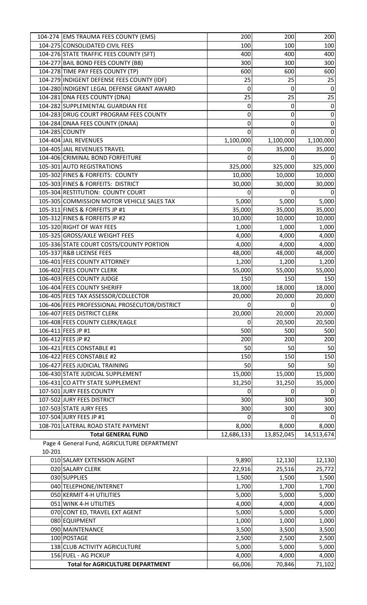|        | 104-274 EMS TRAUMA FEES COUNTY (EMS)                                       | 200        | 200            | 200              |
|--------|----------------------------------------------------------------------------|------------|----------------|------------------|
|        | 104-275 CONSOLIDATED CIVIL FEES                                            | 100        | 100            | 100              |
|        | 104-276 STATE TRAFFIC FEES COUNTY (SFT)                                    | 400        | 400            | 400              |
|        | 104-277 BAIL BOND FEES COUNTY (BB)                                         | 300        | 300            | 300              |
|        | 104-278 TIME PAY FEES COUNTY (TP)                                          | 600        | 600            | 600              |
|        | 104-279 INDIGENT DEFENSE FEES COUNTY (IDF)                                 | 25         | 25             | 25               |
|        | 104-280 INDIGENT LEGAL DEFENSE GRANT AWARD                                 | 0          | 0              | $\mathbf 0$      |
|        | 104-281 DNA FEES COUNTY (DNA)                                              | 25         | 25             | 25               |
|        | 104-282 SUPPLEMENTAL GUARDIAN FEE                                          | 0          | 0              | $\mathbf 0$      |
|        | 104-283 DRUG COURT PROGRAM FEES COUNTY                                     | 0          | 0              | $\pmb{0}$        |
|        | 104-284 DNAA FEES COUNTY (DNAA)                                            | 0          | 0              | $\boldsymbol{0}$ |
|        | 104-285 COUNTY                                                             | 0          | $\mathbf 0$    | $\mathbf 0$      |
|        | 104-404 JAIL REVENUES                                                      | 1,100,000  | 1,100,000      | 1,100,000        |
|        | 104-405 JAIL REVENUES TRAVEL                                               | 0          | 35,000         | 35,000           |
|        | 104-406 CRIMINAL BOND FORFEITURE                                           | $\Omega$   | 0              | 0                |
|        | 105-301 AUTO REGISTRATIONS                                                 | 325,000    | 325,000        | 325,000          |
|        | 105-302 FINES & FORFEITS: COUNTY                                           | 10,000     | 10,000         | 10,000           |
|        | 105-303 FINES & FORFEITS: DISTRICT                                         | 30,000     | 30,000         | 30,000           |
|        | 105-304 RESTITUTION: COUNTY COURT                                          | 0          | 0              |                  |
|        | 105-305 COMMISSION MOTOR VEHICLE SALES TAX                                 | 5,000      | 5,000          | 5,000            |
|        | 105-311 FINES & FORFEITS JP #1                                             | 35,000     | 35,000         | 35,000           |
|        | 105-312 FINES & FORFEITS JP #2                                             | 10,000     | 10,000         | 10,000           |
|        | 105-320 RIGHT OF WAY FEES                                                  | 1,000      | 1,000          | 1,000            |
|        |                                                                            |            |                |                  |
|        | 105-325 GROSS/AXLE WEIGHT FEES<br>105-336 STATE COURT COSTS/COUNTY PORTION | 4,000      | 4,000<br>4,000 | 4,000            |
|        |                                                                            | 4,000      |                | 4,000            |
|        | 105-337 R&B LICENSE FEES                                                   | 48,000     | 48,000         | 48,000           |
|        | 106-401 FEES COUNTY ATTORNEY                                               | 1,200      | 1,200          | 1,200            |
|        | 106-402 FEES COUNTY CLERK                                                  | 55,000     | 55,000         | 55,000           |
|        | 106-403 FEES COUNTY JUDGE                                                  | 150        | 150            | 150              |
|        | 106-404 FEES COUNTY SHERIFF                                                | 18,000     | 18,000         | 18,000           |
|        | 106-405 FEES TAX ASSESSOR/COLLECTOR                                        | 20,000     | 20,000         | 20,000           |
|        | 106-406 FEES PROFESSIONAL PROSECUTOR/DISTRICT                              | 0          | $\overline{0}$ | $\overline{0}$   |
|        | 106-407 FEES DISTRICT CLERK                                                | 20,000     | 20,000         | 20,000           |
|        | 106-408 FEES COUNTY CLERK/EAGLE                                            | 0          | 20,500         | 20,500           |
|        | 106-411 FEES JP #1                                                         | 500        | 500            | 500              |
|        | 106-412 FEES JP #2                                                         | 200        | 200            | 200              |
|        | 106-421 FEES CONSTABLE #1                                                  | 50         | 50             | 50               |
|        | 106-422 FEES CONSTABLE #2                                                  | 150        | 150            | 150              |
|        | 106-427 FEES JUDICIAL TRAINING                                             | 50         | 50             | 50               |
|        | 106-430 STATE JUDICIAL SUPPLEMENT                                          | 15,000     | 15,000         | 15,000           |
|        | 106-431 CO ATTY STATE SUPPLEMENT                                           | 31,250     | 31,250         | 35,000           |
|        | 107-501 JURY FEES COUNTY                                                   | 0          | 0              | $\mathbf 0$      |
|        | 107-502 JURY FEES DISTRICT                                                 | 300        | 300            | 300              |
|        | 107-503 STATE JURY FEES                                                    | 300        | 300            | 300              |
|        | 107-504 JURY FEES JP #1                                                    | 0          | 0              | 0                |
|        | 108-701 LATERAL ROAD STATE PAYMENT                                         | 8,000      | 8,000          | 8,000            |
|        | <b>Total GENERAL FUND</b>                                                  | 12,686,133 | 13,852,045     | 14,513,674       |
|        | Page 4 General Fund, AGRICULTURE DEPARTMENT                                |            |                |                  |
| 10-201 |                                                                            |            |                |                  |
|        | 010 SALARY EXTENSION AGENT                                                 | 9,890      | 12,130         | 12,130           |
|        | 020 SALARY CLERK                                                           | 22,916     | 25,516         | 25,772           |
|        | 030 SUPPLIES                                                               | 1,500      | 1,500          | 1,500            |
|        | 040 TELEPHONE/INTERNET                                                     | 1,700      | 1,700          | 1,700            |
|        | 050 KERMIT 4-H UTILITIES                                                   | 5,000      | 5,000          | 5,000            |
|        | 051 WINK 4-H UTILITIES                                                     | 4,000      | 4,000          | 4,000            |
|        | 070 CONT ED, TRAVEL EXT AGENT                                              | 5,000      | 5,000          | 5,000            |
|        | 080 EQUIPMENT                                                              | 1,000      | 1,000          |                  |
|        | 090 MAINTENANCE                                                            |            |                | 1,000            |
|        | 100 POSTAGE                                                                | 3,500      | 3,500          | 3,500            |
|        | 138 CLUB ACTIVITY AGRICULTURE                                              | 2,500      | 2,500          | 2,500            |
|        |                                                                            | 5,000      | 5,000          | 5,000            |
|        | 156 FUEL - AG PICKUP                                                       | 4,000      | 4,000          | 4,000            |
|        | <b>Total for AGRICULTURE DEPARTMENT</b>                                    | 66,006     | 70,846         | 71,102           |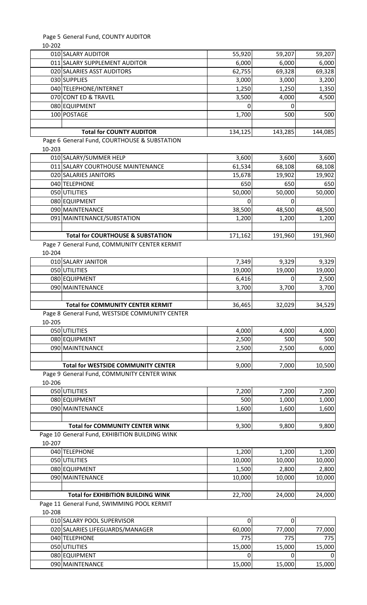|        | Page 5 General Fund, COUNTY AUDITOR            |         |         |         |
|--------|------------------------------------------------|---------|---------|---------|
| 10-202 |                                                |         |         |         |
|        | 010 SALARY AUDITOR                             | 55,920  | 59,207  | 59,207  |
|        | 011 SALARY SUPPLEMENT AUDITOR                  | 6,000   | 6,000   | 6,000   |
|        | 020 SALARIES ASST AUDITORS                     | 62,755  | 69,328  | 69,328  |
|        | 030 SUPPLIES                                   | 3,000   | 3,000   | 3,200   |
|        | 040 TELEPHONE/INTERNET                         | 1,250   | 1,250   | 1,350   |
|        | 070 CONT ED & TRAVEL                           | 3,500   | 4,000   | 4,500   |
|        | 080 EQUIPMENT                                  | 0       | 0       |         |
|        | 100 POSTAGE                                    | 1,700   | 500     | 500     |
|        | <b>Total for COUNTY AUDITOR</b>                | 134,125 | 143,285 | 144,085 |
|        | Page 6 General Fund, COURTHOUSE & SUBSTATION   |         |         |         |
| 10-203 |                                                |         |         |         |
|        | 010 SALARY/SUMMER HELP                         | 3,600   | 3,600   | 3,600   |
|        | 011 SALARY COURTHOUSE MAINTENANCE              | 61,534  | 68,108  | 68,108  |
|        | 020 SALARIES JANITORS                          | 15,678  | 19,902  | 19,902  |
|        | 040 TELEPHONE                                  | 650     | 650     | 650     |
|        | 050 UTILITIES                                  | 50,000  | 50,000  | 50,000  |
|        | 080 EQUIPMENT                                  | 0       | 0       |         |
|        | 090 MAINTENANCE                                | 38,500  | 48,500  | 48,500  |
|        | 091 MAINTENANCE/SUBSTATION                     | 1,200   | 1,200   | 1,200   |
|        |                                                |         |         |         |
|        | <b>Total for COURTHOUSE &amp; SUBSTATION</b>   | 171,162 | 191,960 | 191,960 |
|        | Page 7 General Fund, COMMUNITY CENTER KERMIT   |         |         |         |
| 10-204 |                                                |         |         |         |
|        | 010 SALARY JANITOR                             | 7,349   | 9,329   | 9,329   |
|        | 050 UTILITIES                                  | 19,000  | 19,000  | 19,000  |
|        | 080 EQUIPMENT                                  | 6,416   | 0       | 2,500   |
|        | 090 MAINTENANCE                                | 3,700   | 3,700   | 3,700   |
|        |                                                |         |         |         |
|        | <b>Total for COMMUNITY CENTER KERMIT</b>       | 36,465  | 32,029  | 34,529  |
|        | Page 8 General Fund, WESTSIDE COMMUNITY CENTER |         |         |         |
| 10-205 |                                                |         |         |         |
|        | 050 UTILITIES                                  | 4,000   | 4,000   | 4,000   |
|        | 080 EQUIPMENT                                  | 2,500   | 500     | 500     |
|        | 090 MAINTENANCE                                | 2,500   | 2,500   | 6,000   |
|        |                                                |         |         |         |
|        | <b>Total for WESTSIDE COMMUNITY CENTER</b>     | 9,000   | 7,000   | 10,500  |
|        | Page 9 General Fund, COMMUNITY CENTER WINK     |         |         |         |
| 10-206 |                                                |         |         |         |
|        | 050 UTILITIES                                  | 7,200   | 7,200   | 7,200   |
|        | 080 EQUIPMENT                                  | 500     | 1,000   | 1,000   |
|        | 090 MAINTENANCE                                | 1,600   | 1,600   | 1,600   |
|        |                                                |         |         |         |
|        | <b>Total for COMMUNITY CENTER WINK</b>         | 9,300   | 9,800   | 9,800   |
|        | Page 10 General Fund, EXHIBITION BUILDING WINK |         |         |         |
| 10-207 |                                                |         |         |         |
|        | 040 TELEPHONE                                  | 1,200   | 1,200   | 1,200   |
|        | 050 UTILITIES                                  | 10,000  | 10,000  | 10,000  |
|        | 080 EQUIPMENT                                  | 1,500   | 2,800   | 2,800   |
|        | 090 MAINTENANCE                                | 10,000  | 10,000  | 10,000  |
|        |                                                |         |         |         |
|        | <b>Total for EXHIBITION BUILDING WINK</b>      | 22,700  | 24,000  | 24,000  |
|        | Page 11 General Fund, SWIMMING POOL KERMIT     |         |         |         |
| 10-208 |                                                |         |         |         |
|        | 010 SALARY POOL SUPERVISOR                     | 0       | 0       |         |
|        | 020 SALARIES LIFEGUARDS/MANAGER                | 60,000  | 77,000  | 77,000  |
|        |                                                |         |         |         |

| 020 SALARIES LIFEGUARDS/MANAGER | 60,000 | 77,000 | 77,000 |
|---------------------------------|--------|--------|--------|
| 040 TELEPHONE                   | 775I   | 775    | 775 I  |
| 050 UTILITIES                   | 15,000 | 15,000 | 15,000 |
| 080 EQUIPMENT                   |        |        | 01     |
| 090 MAINTENANCE                 | 15,000 | 15,000 | 15,000 |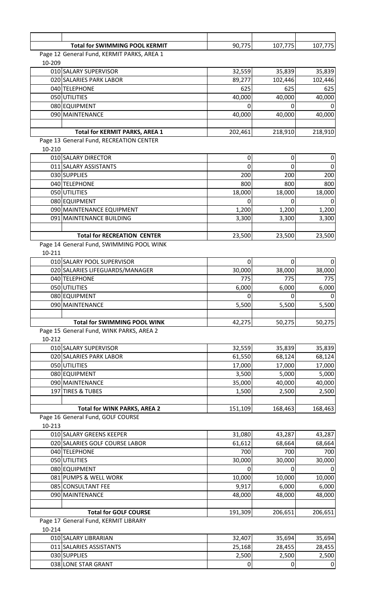|        | <b>Total for SWIMMING POOL KERMIT</b>      | 90,775  | 107,775 | 107,775          |
|--------|--------------------------------------------|---------|---------|------------------|
|        | Page 12 General Fund, KERMIT PARKS, AREA 1 |         |         |                  |
| 10-209 |                                            |         |         |                  |
|        | 010 SALARY SUPERVISOR                      | 32,559  | 35,839  | 35,839           |
|        | 020 SALARIES PARK LABOR                    | 89,277  | 102,446 | 102,446          |
|        | 040 TELEPHONE                              | 625     | 625     | 625              |
|        | 050 UTILITIES                              | 40,000  | 40,000  | 40,000           |
|        | 080 EQUIPMENT                              | 0       |         |                  |
|        | 090 MAINTENANCE                            | 40,000  | 40,000  | 40,000           |
|        |                                            |         |         |                  |
|        | <b>Total for KERMIT PARKS, AREA 1</b>      | 202,461 | 218,910 | 218,910          |
|        | Page 13 General Fund, RECREATION CENTER    |         |         |                  |
| 10-210 |                                            |         |         |                  |
|        | 010 SALARY DIRECTOR                        | 0       | 0       | 0                |
|        | 011 SALARY ASSISTANTS                      | 0       | 0       | $\Omega$         |
|        | 030 SUPPLIES                               | 200     | 200     | 200              |
|        | 040 TELEPHONE                              | 800     | 800     | 800              |
|        | 050 UTILITIES                              | 18,000  | 18,000  | 18,000           |
|        | 080 EQUIPMENT                              | 0       | 0       |                  |
|        | 090 MAINTENANCE EQUIPMENT                  | 1,200   | 1,200   | 1,200            |
|        | 091 MAINTENANCE BUILDING                   | 3,300   | 3,300   | 3,300            |
|        |                                            |         |         |                  |
|        | <b>Total for RECREATION CENTER</b>         | 23,500  | 23,500  | 23,500           |
|        | Page 14 General Fund, SWIMMING POOL WINK   |         |         |                  |
| 10-211 |                                            |         |         |                  |
|        | 010 SALARY POOL SUPERVISOR                 | 0       | 0       | 0                |
|        | 020 SALARIES LIFEGUARDS/MANAGER            | 30,000  | 38,000  | 38,000           |
|        | 040 TELEPHONE                              | 775     | 775     | 775              |
|        | 050 UTILITIES                              | 6,000   | 6,000   | 6,000            |
|        | 080 EQUIPMENT                              | 0       |         | 0                |
|        | 090 MAINTENANCE                            | 5,500   | 5,500   | 5,500            |
|        |                                            |         |         |                  |
|        | <b>Total for SWIMMING POOL WINK</b>        | 42,275  | 50,275  | 50,275           |
|        | Page 15 General Fund, WINK PARKS, AREA 2   |         |         |                  |
| 10-212 |                                            |         |         |                  |
|        | 010 SALARY SUPERVISOR                      | 32,559  | 35,839  | 35,839           |
|        | 020 SALARIES PARK LABOR                    | 61,550  | 68,124  | 68,124           |
|        | 050 UTILITIES                              | 17,000  | 17,000  | 17,000           |
|        | 080 EQUIPMENT                              | 3,500   | 5,000   | 5,000            |
|        | 090 MAINTENANCE                            | 35,000  | 40,000  | 40,000           |
|        | 197 TIRES & TUBES                          | 1,500   | 2,500   | 2,500            |
|        |                                            |         |         |                  |
|        | <b>Total for WINK PARKS, AREA 2</b>        | 151,109 | 168,463 | 168,463          |
|        | Page 16 General Fund, GOLF COURSE          |         |         |                  |
| 10-213 |                                            |         |         |                  |
|        | 010 SALARY GREENS KEEPER                   | 31,080  | 43,287  | 43,287           |
|        | 020 SALARIES GOLF COURSE LABOR             | 61,612  | 68,664  | 68,664           |
|        | 040 TELEPHONE                              | 700     | 700     | 700              |
|        | 050 UTILITIES                              | 30,000  | 30,000  | 30,000           |
|        | 080 EQUIPMENT                              | 0       | 0       | 0                |
|        | 081 PUMPS & WELL WORK                      | 10,000  | 10,000  | 10,000           |
|        | 085 CONSULTANT FEE                         | 9,917   | 6,000   | 6,000            |
|        | 090 MAINTENANCE                            | 48,000  | 48,000  | 48,000           |
|        |                                            |         |         |                  |
|        | <b>Total for GOLF COURSE</b>               | 191,309 | 206,651 | 206,651          |
|        | Page 17 General Fund, KERMIT LIBRARY       |         |         |                  |
| 10-214 |                                            |         |         |                  |
|        | 010 SALARY LIBRARIAN                       | 32,407  | 35,694  | 35,694           |
|        | 011 SALARIES ASSISTANTS                    | 25,168  | 28,455  | 28,455           |
|        | 030 SUPPLIES                               | 2,500   | 2,500   | 2,500            |
|        | 038 LONE STAR GRANT                        | 0       | 0       | $\boldsymbol{0}$ |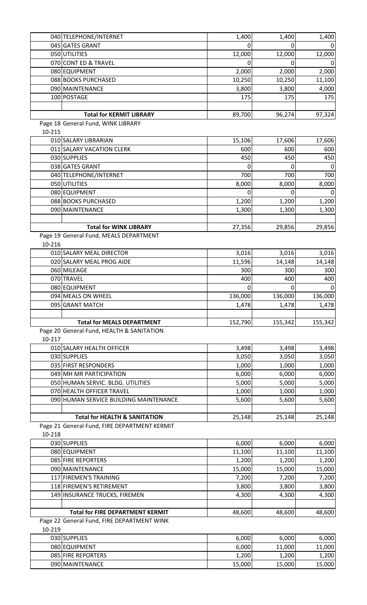|        | 040 TELEPHONE/INTERNET                          | 1,400    | 1,400   | 1,400   |
|--------|-------------------------------------------------|----------|---------|---------|
|        | 045 GATES GRANT                                 | 0        |         |         |
|        | 050 UTILITIES                                   | 12,000   | 12,000  | 12,000  |
|        | 070 CONT ED & TRAVEL                            | 0        |         |         |
|        | 080 EQUIPMENT                                   | 2,000    | 2,000   | 2,000   |
|        | 088 BOOKS PURCHASED                             | 10,250   | 10,250  | 11,100  |
|        | 090 MAINTENANCE                                 | 3,800    | 3,800   | 4,000   |
|        | 100 POSTAGE                                     | 175      | 175     | 175     |
|        |                                                 |          |         |         |
|        | <b>Total for KERMIT LIBRARY</b>                 | 89,700   | 96,274  | 97,324  |
|        | Page 18 General Fund, WINK LIBRARY              |          |         |         |
| 10-215 |                                                 |          |         |         |
|        | 010 SALARY LIBRARIAN                            | 15,106   | 17,606  | 17,606  |
|        | 011 SALARY VACATION CLERK                       | 600      | 600     | 600     |
|        | 030 SUPPLIES                                    | 450      | 450     | 450     |
|        | 038 GATES GRANT                                 | 0        |         | 0       |
|        | 040 TELEPHONE/INTERNET                          | 700      | 700     | 700     |
|        | 050 UTILITIES                                   | 8,000    | 8,000   | 8,000   |
|        | 080 EQUIPMENT                                   | 0        | O       |         |
|        | 088 BOOKS PURCHASED                             |          |         |         |
|        |                                                 | 1,200    | 1,200   | 1,200   |
|        | 090 MAINTENANCE                                 | 1,300    | 1,300   | 1,300   |
|        |                                                 |          |         |         |
|        | <b>Total for WINK LIBRARY</b>                   | 27,356   | 29,856  | 29,856  |
| 10-216 | Page 19 General Fund, MEALS DEPARTMENT          |          |         |         |
|        |                                                 |          |         |         |
|        | 010 SALARY MEAL DIRECTOR                        | 3,016    | 3,016   | 3,016   |
|        | 020 SALARY MEAL PROG AIDE                       | 11,596   | 14,148  | 14,148  |
|        | 060 MILEAGE                                     | 300      | 300     | 300     |
|        | 070 TRAVEL                                      | 400      | 400     | 400     |
|        | 080 EQUIPMENT                                   | $\Omega$ | O       | 0       |
|        | 094 MEALS ON WHEEL                              | 136,000  | 136,000 | 136,000 |
|        | 095 GRANT MATCH                                 | 1,478    | 1,478   | 1,478   |
|        | <b>Total for MEALS DEPARTMENT</b>               |          |         |         |
|        | Page 20 General Fund, HEALTH & SANITATION       | 152,790  | 155,342 | 155,342 |
| 10-217 |                                                 |          |         |         |
|        | 010 SALARY HEALTH OFFICER                       | 3,498    | 3,498   | 3,498   |
|        | 030 SUPPLIES                                    | 3,050    | 3,050   | 3,050   |
|        |                                                 |          |         |         |
|        | 035 FIRST RESPONDERS<br>049 MH MR PARTICIPATION | 1,000    | 1,000   | 1,000   |
|        |                                                 | 6,000    | 6,000   | 6,000   |
|        | 050 HUMAN SERVIC. BLDG. UTILITIES               | 5,000    | 5,000   | 5,000   |
|        | 070 HEALTH OFFICER TRAVEL                       | 1,000    | 1,000   | 1,000   |
|        | 090 HUMAN SERVICE BUILDING MAINTENANCE          | 5,600    | 5,600   | 5,600   |
|        |                                                 |          |         |         |
|        | <b>Total for HEALTH &amp; SANITATION</b>        | 25,148   | 25,148  | 25,148  |
|        | Page 21 General Fund, FIRE DEPARTMENT KERMIT    |          |         |         |
| 10-218 |                                                 |          |         |         |
|        | 030 SUPPLIES                                    | 6,000    | 6,000   | 6,000   |
|        | 080 EQUIPMENT                                   | 11,100   | 11,100  | 11,100  |
|        | 085 FIRE REPORTERS                              | 1,200    | 1,200   | 1,200   |
|        | 090 MAINTENANCE                                 | 15,000   | 15,000  | 15,000  |
|        | 117 FIREMEN'S TRAINING                          | 7,200    | 7,200   | 7,200   |
|        | 118 FIREMEN'S RETIREMENT                        | 3,800    | 3,800   | 3,800   |
|        | 149 INSURANCE TRUCKS, FIREMEN                   | 4,300    | 4,300   | 4,300   |
|        |                                                 |          |         |         |
|        | <b>Total for FIRE DEPARTMENT KERMIT</b>         | 48,600   | 48,600  | 48,600  |
|        | Page 22 General Fund, FIRE DEPARTMENT WINK      |          |         |         |
| 10-219 |                                                 |          |         |         |

| 030 SUPPLIES              | 6.000              | 6,000  | 6,000      |
|---------------------------|--------------------|--------|------------|
| 080 EQUIPMENT             | 6,000              | 11.000 | .000<br>11 |
| <b>085 FIRE REPORTERS</b> | $\overline{1,200}$ | 1,200  | 1,200      |
| 090 MAINTENANCE           | 15,000             | 15,000 | 15,000     |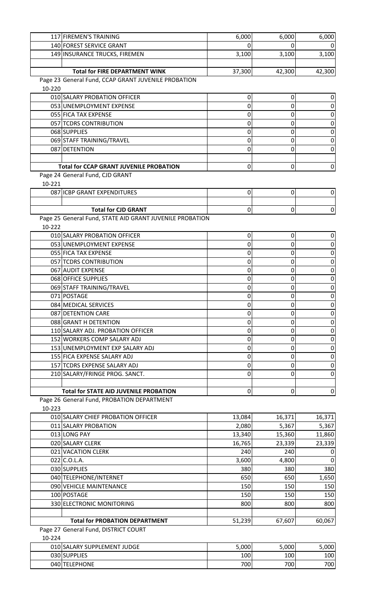|        | 117 FIREMEN'S TRAINING                                   | 6,000            | 6,000     | 6,000            |
|--------|----------------------------------------------------------|------------------|-----------|------------------|
|        | 140 FOREST SERVICE GRANT                                 | 0                |           |                  |
|        | 149 INSURANCE TRUCKS, FIREMEN                            | 3,100            | 3,100     | 3,100            |
|        |                                                          |                  |           |                  |
|        | <b>Total for FIRE DEPARTMENT WINK</b>                    | 37,300           | 42,300    | 42,300           |
|        | Page 23 General Fund, CCAP GRANT JUVENILE PROBATION      |                  |           |                  |
| 10-220 |                                                          |                  |           |                  |
|        | 010 SALARY PROBATION OFFICER                             | $\pmb{0}$        | 0         | 0                |
|        |                                                          |                  |           |                  |
|        | 053 UNEMPLOYMENT EXPENSE                                 | 0                | 0         | 0                |
|        | 055 FICA TAX EXPENSE                                     | 0                | 0         | 0                |
|        | 057 TCDRS CONTRIBUTION                                   | 0                | 0         | 0                |
|        | 068 SUPPLIES                                             | 0                | 0         | 0                |
|        | 069 STAFF TRAINING/TRAVEL                                | 0                | 0         | 0                |
|        | 087 DETENTION                                            | 0                | 0         | 0                |
|        |                                                          |                  |           |                  |
|        | <b>Total for CCAP GRANT JUVENILE PROBATION</b>           | 0                | 0         | $\boldsymbol{0}$ |
|        | Page 24 General Fund, CJD GRANT                          |                  |           |                  |
| 10-221 |                                                          |                  |           |                  |
|        | 087 ICBP GRANT EXPENDITURES                              | $\mathbf 0$      | 0         | 0                |
|        |                                                          |                  |           |                  |
|        | <b>Total for CJD GRANT</b>                               | 0                | 0         | $\mathbf 0$      |
|        | Page 25 General Fund, STATE AID GRANT JUVENILE PROBATION |                  |           |                  |
| 10-222 |                                                          |                  |           |                  |
|        |                                                          |                  |           |                  |
|        | 010 SALARY PROBATION OFFICER                             | $\boldsymbol{0}$ | 0         | 0                |
|        | 053 UNEMPLOYMENT EXPENSE                                 | 0                | 0         | 0                |
|        | 055 FICA TAX EXPENSE                                     | 0                | 0         | 0                |
|        | 057 TCDRS CONTRIBUTION                                   | 0                | 0         | 0                |
|        | 067 AUDIT EXPENSE                                        | 0                | 0         | 0                |
|        | 068 OFFICE SUPPLIES                                      | 0                | 0         | $\boldsymbol{0}$ |
|        | 069 STAFF TRAINING/TRAVEL                                | 0                | 0         | $\boldsymbol{0}$ |
|        | 071 POSTAGE                                              | 0                | 0         | 0                |
|        | 084 MEDICAL SERVICES                                     | $\overline{0}$   | $\pmb{0}$ | $\mathbf 0$      |
|        | 087 DETENTION CARE                                       | 0                | 0         | $\mathbf 0$      |
|        | 088 GRANT H DETENTION                                    | 0                | 0         | $\boldsymbol{0}$ |
|        | 110 SALARY ADJ. PROBATION OFFICER                        | 0                | 0         | $\boldsymbol{0}$ |
|        | 152 WORKERS COMP SALARY ADJ                              | 0                | 0         | $\mathbf 0$      |
|        | 153 UNEMPLOYMENT EXP SALARY ADJ                          | 0                | 0         | $\boldsymbol{0}$ |
|        | 155 FICA EXPENSE SALARY ADJ                              | 0                | 0         | $\boldsymbol{0}$ |
|        | 157 TCDRS EXPENSE SALARY ADJ                             | 0                | 0         | $\boldsymbol{0}$ |
|        |                                                          |                  |           |                  |
|        | 210 SALARY/FRINGE PROG. SANCT.                           | 0                | 0         | $\boldsymbol{0}$ |
|        |                                                          |                  |           |                  |
|        | <b>Total for STATE AID JUVENILE PROBATION</b>            | 0                | $\pmb{0}$ | $\pmb{0}$        |
|        | Page 26 General Fund, PROBATION DEPARTMENT               |                  |           |                  |
| 10-223 |                                                          |                  |           |                  |
|        | 010 SALARY CHIEF PROBATION OFFICER                       | 13,084           | 16,371    | 16,371           |
|        | 011 SALARY PROBATION                                     | 2,080            | 5,367     | 5,367            |
|        | 013 LONG PAY                                             | 13,340           | 15,360    | 11,860           |
|        | 020 SALARY CLERK                                         | 16,765           | 23,339    | 23,339           |
|        | 021 VACATION CLERK                                       | 240              | 240       | 0                |
|        | 022 C.O.L.A.                                             | 3,600            | 4,800     | $\Omega$         |
|        | 030 SUPPLIES                                             | 380              | 380       | 380              |
|        | 040 TELEPHONE/INTERNET                                   | 650              | 650       | 1,650            |
|        | 090 VEHICLE MAINTENANCE                                  | 150              | 150       | 150              |
|        | 100 POSTAGE                                              | 150              | 150       | 150              |
|        |                                                          |                  |           |                  |
|        | 330 ELECTRONIC MONITORING                                | 800              | 800       | 800              |
|        |                                                          |                  |           |                  |
|        | <b>Total for PROBATION DEPARTMENT</b>                    | 51,239           | 67,607    | 60,067           |
|        | Page 27 General Fund, DISTRICT COURT                     |                  |           |                  |
| 10-224 |                                                          |                  |           |                  |
|        | 010 SALARY SUPPLEMENT JUDGE                              | 5,000            | 5,000     | 5,000            |
|        | 030 SUPPLIES                                             | 100              | 100       | 100              |
|        | 040 TELEPHONE                                            | 700              | 700       | 700              |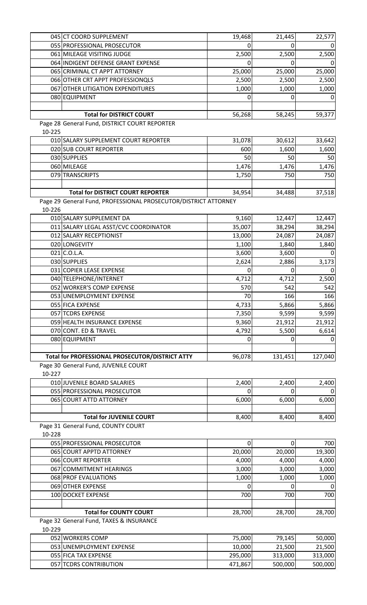| 045 CT COORD SUPPLEMENT                                         | 19,468 | 21,445   | 22,577   |
|-----------------------------------------------------------------|--------|----------|----------|
| 055 PROFESSIONAL PROSECUTOR                                     | 0      | 0        |          |
| 061 MILEAGE VISITING JUDGE                                      | 2,500  | 2,500    | 2,500    |
| 064 INDIGENT DEFENSE GRANT EXPENSE                              | 0      | 0        |          |
| 065 CRIMINAL CT APPT ATTORNEY                                   | 25,000 | 25,000   | 25,000   |
| 066 OTHER CRT APPT PROFESSIONQLS                                | 2,500  | 2,500    | 2,500    |
| 067 OTHER LITIGATION EXPENDITURES                               | 1,000  | 1,000    | 1,000    |
| 080 EQUIPMENT                                                   | 0      | 0        | 0        |
|                                                                 |        |          |          |
| <b>Total for DISTRICT COURT</b>                                 | 56,268 | 58,245   | 59,377   |
| Page 28 General Fund, DISTRICT COURT REPORTER                   |        |          |          |
| 10-225                                                          |        |          |          |
| 010 SALARY SUPPLEMENT COURT REPORTER                            | 31,078 | 30,612   | 33,642   |
| 020 SUB COURT REPORTER                                          | 600    | 1,600    | 1,600    |
| 030 SUPPLIES                                                    | 50     | 50       | 50       |
| 060 MILEAGE                                                     | 1,476  | 1,476    | 1,476    |
| 079 TRANSCRIPTS                                                 | 1,750  | 750      | 750      |
|                                                                 |        |          |          |
| <b>Total for DISTRICT COURT REPORTER</b>                        | 34,954 | 34,488   | 37,518   |
| Page 29 General Fund, PROFESSIONAL PROSECUTOR/DISTRICT ATTORNEY |        |          |          |
| 10-226                                                          |        |          |          |
| 010 SALARY SUPPLEMENT DA                                        | 9,160  | 12,447   | 12,447   |
| 011 SALARY LEGAL ASST/CVC COORDINATOR                           | 35,007 | 38,294   | 38,294   |
| 012 SALARY RECEPTIONIST                                         | 13,000 | 24,087   | 24,087   |
| 020 LONGEVITY                                                   | 1,100  | 1,840    | 1,840    |
| $021$ C.O.L.A.                                                  | 3,600  | 3,600    |          |
| 030 SUPPLIES                                                    | 2,624  | 2,886    | 3,173    |
| 031 COPIER LEASE EXPENSE                                        | 0      | 0        | 0        |
| 040 TELEPHONE/INTERNET                                          | 4,712  | 4,712    | 2,500    |
| 052 WORKER'S COMP EXPENSE                                       | 570    | 542      | 542      |
| 053 UNEMPLOYMENT EXPENSE                                        | 70     | 166      | 166      |
| 055 FICA EXPENSE                                                | 4,733  | 5,866    | 5,866    |
| 057 TCDRS EXPENSE                                               | 7,350  | 9,599    | 9,599    |
| 059 HEALTH INSURANCE EXPENSE                                    | 9,360  | 21,912   | 21,912   |
| 070 CONT. ED & TRAVEL                                           | 4,792  |          | 6,614    |
|                                                                 |        | 5,500    | $\Omega$ |
| 080 EQUIPMENT                                                   | 0      | 0        |          |
| Total for PROFESSIONAL PROSECUTOR/DISTRICT ATTY                 | 96,078 | 131,451  | 127,040  |
| Page 30 General Fund, JUVENILE COURT                            |        |          |          |
| 10-227                                                          |        |          |          |
| 010 JUVENILE BOARD SALARIES                                     | 2,400  | 2,400    | 2,400    |
| 055 PROFESSIONAL PROSECUTOR                                     | 0      | 0        | 0        |
| 065 COURT ATTD ATTORNEY                                         | 6,000  |          | 6,000    |
|                                                                 |        | 6,000    |          |
| <b>Total for JUVENILE COURT</b>                                 |        |          |          |
|                                                                 | 8,400  | 8,400    | 8,400    |
| Page 31 General Fund, COUNTY COURT                              |        |          |          |
| 10-228                                                          |        |          |          |
| 055 PROFESSIONAL PROSECUTOR                                     | 0      | $\Omega$ | 700      |
| 065 COURT APPTD ATTORNEY                                        | 20,000 | 20,000   | 19,300   |
| 066 COURT REPORTER                                              | 4,000  | 4,000    | 4,000    |
| 067 COMMITMENT HEARINGS                                         | 3,000  | 3,000    | 3,000    |
| 068 PROF EVALUATIONS                                            | 1,000  | 1,000    | 1,000    |
| 069 OTHER EXPENSE                                               | 0      | 0        | 0        |
| 100 DOCKET EXPENSE                                              | 700    | 700      | 700      |
|                                                                 |        |          |          |
| <b>Total for COUNTY COURT</b>                                   | 28,700 | 28,700   | 28,700   |
| Page 32 General Fund, TAXES & INSURANCE                         |        |          |          |
| 10-229                                                          |        |          |          |
| 052 WORKERS COMP                                                | 75,000 | 79,145   | 50,000   |
| 053 UNEMPLOYMENT EXPENSE                                        | 10,000 | 21,500   | 21,500   |

055 FICA TAX EXPENSE 295,000 313,000 313,000 313,000 313,000 313,000 313,000 500,000 500,000 313,000 500,000 500,000 500,000 500,000 500,000 500,000 500,000 500,000 500,000 500,000 500,000 500,000 500,000 500,000 500,000 5

057 TCDRS CONTRIBUTION 471,867 500,000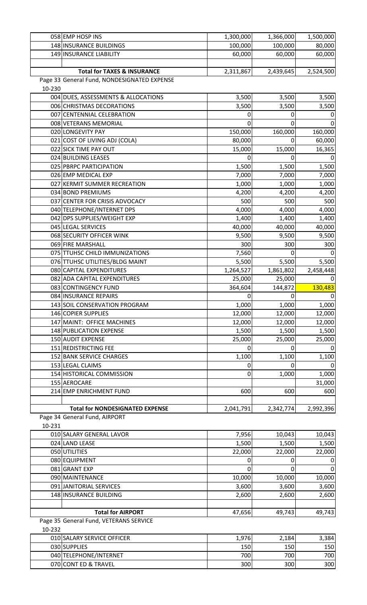|        | 058 EMP HOSP INS                            | 1,300,000 | 1,366,000    | 1,500,000 |
|--------|---------------------------------------------|-----------|--------------|-----------|
|        | 148 INSURANCE BUILDINGS                     | 100,000   | 100,000      | 80,000    |
|        | 149 INSURANCE LIABILITY                     | 60,000    | 60,000       | 60,000    |
|        |                                             |           |              |           |
|        | <b>Total for TAXES &amp; INSURANCE</b>      | 2,311,867 | 2,439,645    | 2,524,500 |
|        | Page 33 General Fund, NONDESIGNATED EXPENSE |           |              |           |
| 10-230 |                                             |           |              |           |
|        | 004 DUES, ASSESSMENTS & ALLOCATIONS         | 3,500     | 3,500        | 3,500     |
|        | 006 CHRISTMAS DECORATIONS                   | 3,500     | 3,500        | 3,500     |
|        | 007 CENTENNIAL CELEBRATION                  | 0         | 0            | 0         |
|        | 008 VETERANS MEMORIAL                       | 0         | 0            | 0         |
|        | 020 LONGEVITY PAY                           | 150,000   | 160,000      | 160,000   |
|        | 021 COST OF LIVING ADJ (COLA)               | 80,000    | 0            | 60,000    |
|        | 022 SICK TIME PAY OUT                       | 15,000    | 15,000       | 16,365    |
|        | 024 BUILDING LEASES                         | 0         | 0            | 0         |
|        | 025 PBRPC PARTICIPATION                     | 1,500     | 1,500        | 1,500     |
|        | 026 EMP MEDICAL EXP                         | 7,000     | 7,000        | 7,000     |
|        | 027 KERMIT SUMMER RECREATION                | 1,000     | 1,000        | 1,000     |
|        | 034 BOND PREMIUMS                           | 4,200     | 4,200        | 4,200     |
|        | 037 CENTER FOR CRISIS ADVOCACY              | 500       | 500          | 500       |
|        |                                             |           |              |           |
|        | 040 TELEPHONE/INTERNET DPS                  | 4,000     | 4,000        | 4,000     |
|        | 042 DPS SUPPLIES/WEIGHT EXP                 | 1,400     | 1,400        | 1,400     |
|        | 045 LEGAL SERVICES                          | 40,000    | 40,000       | 40,000    |
|        | 068 SECURITY OFFICER WINK                   | 9,500     | 9,500        | 9,500     |
|        | 069 FIRE MARSHALL                           | 300       | 300          | 300       |
|        | 075 TTUHSC CHILD IMMUNIZATIONS              | 7,560     | 0            |           |
|        | 076 TTUHSC UTILITIES/BLDG MAINT             | 5,500     | 5,500        | 5,500     |
|        | 080 CAPITAL EXPENDITURES                    | 1,264,527 | 1,861,802    | 2,458,448 |
|        | 082 ADA CAPITAL EXPENDITURES                | 25,000    | 25,000       | 0         |
|        | 083 CONTINGENCY FUND                        | 364,604   | 144,872      | 130,483   |
|        | 084 INSURANCE REPAIRS                       | 0         | 0            | 0         |
|        | 143 SOIL CONSERVATION PROGRAM               | 1,000     | 1,000        | 1,000     |
|        | 146 COPIER SUPPLIES                         | 12,000    | 12,000       | 12,000    |
|        | 147 MAINT: OFFICE MACHINES                  | 12,000    | 12,000       | 12,000    |
|        | 148 PUBLICATION EXPENSE                     | 1,500     | 1,500        | 1,500     |
|        | <b>150 AUDIT EXPENSE</b>                    | 25,000    | 25,000       | 25,000    |
|        | 151 REDISTRICTING FEE                       | 0         | 0            | 0         |
|        | 152 BANK SERVICE CHARGES                    | 1,100     | 1,100        | 1,100     |
|        | 153 LEGAL CLAIMS                            | 0         | <sup>0</sup> | 0         |
|        | 154 HISTORICAL COMMISSION                   | 0         | 1,000        | 1,000     |
|        | 155 AEROCARE                                |           |              | 31,000    |
|        | 214 EMP ENRICHMENT FUND                     | 600       | 600          | 600       |
|        |                                             |           |              |           |
|        | <b>Total for NONDESIGNATED EXPENSE</b>      | 2,041,791 | 2,342,774    | 2,992,396 |
|        | Page 34 General Fund, AIRPORT               |           |              |           |
| 10-231 |                                             |           |              |           |
|        | 010 SALARY GENERAL LAVOR                    | 7,956     | 10,043       | 10,043    |
|        | 024 LAND LEASE                              | 1,500     | 1,500        | 1,500     |
|        | 050 UTILITIES                               | 22,000    | 22,000       | 22,000    |
|        | 080 EQUIPMENT                               | 0         | 0            | 0         |
|        | 081 GRANT EXP                               | 0         | 0            |           |
|        | 090 MAINTENANCE                             | 10,000    | 10,000       | 10,000    |
|        |                                             |           |              |           |
|        | 091 JANITORIAL SERVICES                     | 3,600     | 3,600        | 3,600     |
|        | 148 INSURANCE BUILDING                      | 2,600     | 2,600        | 2,600     |
|        |                                             |           |              |           |
|        | <b>Total for AIRPORT</b>                    | 47,656    | 49,743       | 49,743    |
|        | Page 35 General Fund, VETERANS SERVICE      |           |              |           |
| 10-232 |                                             |           |              |           |
|        | 010 SALARY SERVICE OFFICER                  | 1,976     | 2,184        | 3,384     |
|        | 030 SUPPLIES                                | 150       | 150          | 150       |
|        | 040 TELEPHONE/INTERNET                      | 700       | 700          | 700       |
|        | 070 CONT ED & TRAVEL                        | 300       | 300          | 300       |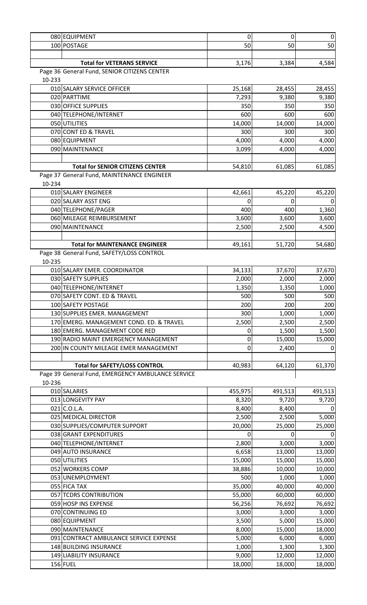| 080 EQUIPMENT |                                   |       |       | 0     |
|---------------|-----------------------------------|-------|-------|-------|
| 100 POSTAGE   |                                   | 50    | 50    | 50    |
|               |                                   |       |       |       |
|               | <b>Total for VETERANS SERVICE</b> | 3,176 | 3,384 | 4,584 |

Page 36 General Fund, SENIOR CITIZENS CENTER

10-233

| 10-233 |                                         |        |        |        |
|--------|-----------------------------------------|--------|--------|--------|
|        | 010 SALARY SERVICE OFFICER              | 25,168 | 28,455 | 28,455 |
|        | 020 PARTTIME                            | 7,293  | 9,380  | 9,380  |
|        | 030 OFFICE SUPPLIES                     | 350    | 350    | 350    |
|        | 040 TELEPHONE/INTERNET                  | 600    | 600    | 600    |
|        | 050 UTILITIES                           | 14,000 | 14,000 | 14,000 |
|        | 070 CONT ED & TRAVEL                    | 300    | 300    | 300    |
|        | 080 EQUIPMENT                           | 4,000  | 4,000  | 4,000  |
|        | 090 MAINTENANCE                         | 3,099  | 4,000  | 4,000  |
|        |                                         |        |        |        |
|        | <b>Total for SENIOR CITIZENS CENTER</b> | 54,810 | 61,085 | 61,085 |

Page 37 General Fund, MAINTENANCE ENGINEER

10-234

| 010 SALARY ENGINEER                   | 42,661 | 45,220 | 45,220 |
|---------------------------------------|--------|--------|--------|
| 020 SALARY ASST ENG                   |        |        | 01     |
| 040 TELEPHONE/PAGER                   | 400    | 400    | 1,360  |
| 060 MILEAGE REIMBURSEMENT             | 3,600  | 3,600  | 3,600  |
| 090 MAINTENANCE                       | 2,500  | 2,500  | 4,500  |
|                                       |        |        |        |
| <b>Total for MAINTENANCE ENGINEER</b> | 49,161 | 51,720 | 54,680 |

Page 38 General Fund, SAFETY/LOSS CONTROL

10-235

| 010 SALARY EMER. COORDINATOR             | 34,133 | 37,670 | 37,670 |
|------------------------------------------|--------|--------|--------|
| 030 SAFETY SUPPLIES                      | 2,000  | 2,000  | 2,000  |
| 040 TELEPHONE/INTERNET                   | 1,350  | 1,350  | 1,000  |
| 070 SAFETY CONT. ED & TRAVEL             | 500    | 500    | 500    |
| 100 SAFETY POSTAGE                       | 200    | 200    | 200    |
| 130 SUPPLIES EMER. MANAGEMENT            | 300    | 1,000  | 1,000  |
| 170 EMERG. MANAGEMENT COND. ED. & TRAVEL | 2,500  | 2,500  | 2,500  |
| 180 EMERG. MANAGEMENT CODE RED           |        | 1,500  | 1,500  |
| 190 RADIO MAINT EMERGENCY MANAGEMENT     |        | 15,000 | 15,000 |
| 200 IN COUNTY MILEAGE EMER MANAGEMENT    | 0      | 2,400  | 0 I    |
|                                          |        |        |        |
| <b>Total for SAFETY/LOSS CONTROL</b>     | 40,983 | 64,120 | 61,370 |

Page 39 General Fund, EMERGENCY AMBULANCE SERVICE

10-236

| 010 SALARIES                           | 455,975 | 491,513 | 491,513 |
|----------------------------------------|---------|---------|---------|
| 013 LONGEVITY PAY                      | 8,320   | 9,720   | 9,720   |
| $021$ C.O.L.A.                         | 8,400   | 8,400   | 0       |
| 025 MEDICAL DIRECTOR                   | 2,500   | 2,500   | 5,000   |
| 030 SUPPLIES/COMPUTER SUPPORT          | 20,000  | 25,000  | 25,000  |
| 038 GRANT EXPENDITURES                 | 0       | 0       | 0       |
| 040 TELEPHONE/INTERNET                 | 2,800   | 3,000   | 3,000   |
| 049 AUTO INSURANCE                     | 6,658   | 13,000  | 13,000  |
| 050 UTILITIES                          | 15,000  | 15,000  | 15,000  |
| 052 WORKERS COMP                       | 38,886  | 10,000  | 10,000  |
| 053 UNEMPLOYMENT                       | 500     | 1,000   | 1,000   |
| 055 FICA TAX                           | 35,000  | 40,000  | 40,000  |
| 057 TCDRS CONTRIBUTION                 | 55,000  | 60,000  | 60,000  |
| 059 HOSP INS EXPENSE                   | 56,256  | 76,692  | 76,692  |
| 070 CONTINUING ED                      | 3,000   | 3,000   | 3,000   |
| 080 EQUIPMENT                          | 3,500   | 5,000   | 15,000  |
| 090 MAINTENANCE                        | 8,000   | 15,000  | 18,000  |
| 091 CONTRACT AMBULANCE SERVICE EXPENSE | 5,000   | 6,000   | 6,000   |
| 148 BUILDING INSURANCE                 | 1,000   | 1,300   | 1,300   |
| 149 LIABILITY INSURANCE                | 9,000   | 12,000  | 12,000  |
| 156 FUEL                               | 18,000  | 18,000  | 18,000  |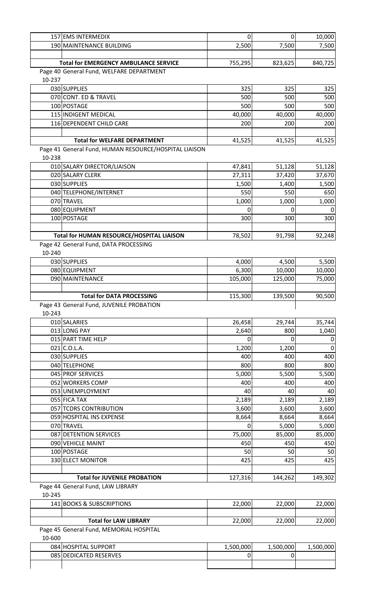|        | 157 EMS INTERMEDIX                                    | $\pmb{0}$ | $\pmb{0}$ | 10,000    |
|--------|-------------------------------------------------------|-----------|-----------|-----------|
|        | 190 MAINTENANCE BUILDING                              | 2,500     | 7,500     | 7,500     |
|        |                                                       |           |           |           |
|        | <b>Total for EMERGENCY AMBULANCE SERVICE</b>          | 755,295   | 823,625   | 840,725   |
|        | Page 40 General Fund, WELFARE DEPARTMENT              |           |           |           |
| 10-237 |                                                       |           |           |           |
|        | 030 SUPPLIES                                          | 325       | 325       | 325       |
|        | 070 CONT. ED & TRAVEL                                 | 500       | 500       | 500       |
|        | 100 POSTAGE                                           | 500       | 500       | 500       |
|        | 115 INDIGENT MEDICAL                                  | 40,000    | 40,000    | 40,000    |
|        | 116 DEPENDENT CHILD CARE                              | 200       | 200       | 200       |
|        |                                                       |           |           |           |
|        | <b>Total for WELFARE DEPARTMENT</b>                   | 41,525    | 41,525    | 41,525    |
|        |                                                       |           |           |           |
| 10-238 | Page 41 General Fund, HUMAN RESOURCE/HOSPITAL LIAISON |           |           |           |
|        |                                                       |           |           |           |
|        | 010 SALARY DIRECTOR/LIAISON                           | 47,841    | 51,128    | 51,128    |
|        | 020 SALARY CLERK                                      | 27,311    | 37,420    | 37,670    |
|        | 030 SUPPLIES                                          | 1,500     | 1,400     | 1,500     |
|        | 040 TELEPHONE/INTERNET                                | 550       | 550       | 650       |
|        | 070 TRAVEL                                            | 1,000     | 1,000     | 1,000     |
|        | 080 EQUIPMENT                                         | 0         | 0         |           |
|        | 100 POSTAGE                                           | 300       | 300       | 300       |
|        |                                                       |           |           |           |
|        | Total for HUMAN RESOURCE/HOSPITAL LIAISON             | 78,502    | 91,798    | 92,248    |
|        | Page 42 General Fund, DATA PROCESSING                 |           |           |           |
| 10-240 |                                                       |           |           |           |
|        | 030 SUPPLIES                                          | 4,000     | 4,500     | 5,500     |
|        | 080 EQUIPMENT                                         | 6,300     | 10,000    | 10,000    |
|        | 090 MAINTENANCE                                       | 105,000   | 125,000   | 75,000    |
|        |                                                       |           |           |           |
|        | <b>Total for DATA PROCESSING</b>                      | 115,300   | 139,500   | 90,500    |
|        | Page 43 General Fund, JUVENILE PROBATION              |           |           |           |
| 10-243 |                                                       |           |           |           |
|        | 010 SALARIES                                          | 26,458    | 29,744    | 35,744    |
|        | 013 LONG PAY                                          | 2,640     | 800       | 1,040     |
|        | 015 PART TIME HELP                                    | 0         | 0         | 0         |
|        | $021$ C.O.L.A.                                        | 1,200     | 1,200     | $\Omega$  |
|        | 030 SUPPLIES                                          | 400       | 400       | 400       |
|        | 040 TELEPHONE                                         | 800       | 800       | 800       |
|        | 045 PROF SERVICES                                     | 5,000     | 5,500     | 5,500     |
|        |                                                       |           |           |           |
|        | 052 WORKERS COMP                                      | 400       | 400       | 400       |
|        | 053 UNEMPLOYMENT                                      | 40        | 40        | 40        |
|        | 055 FICA TAX                                          | 2,189     | 2,189     | 2,189     |
|        | 057 TCDRS CONTRIBUTION                                | 3,600     | 3,600     | 3,600     |
|        | 059 HOSPITAL INS EXPENSE                              | 8,664     | 8,664     | 8,664     |
|        | 070 TRAVEL                                            | 0         | 5,000     | 5,000     |
|        | 087 DETENTION SERVICES                                | 75,000    | 85,000    | 85,000    |
|        | 090 VEHICLE MAINT                                     | 450       | 450       | 450       |
|        | 100 POSTAGE                                           | 50        | 50        | 50        |
|        | 330 ELECT MONITOR                                     | 425       | 425       | 425       |
|        |                                                       |           |           |           |
|        | <b>Total for JUVENILE PROBATION</b>                   | 127,316   | 144,262   | 149,302   |
|        | Page 44 General Fund, LAW LIBRARY                     |           |           |           |
| 10-245 |                                                       |           |           |           |
|        | 141 BOOKS & SUBSCRIPTIONS                             | 22,000    | 22,000    | 22,000    |
|        |                                                       |           |           |           |
|        | <b>Total for LAW LIBRARY</b>                          | 22,000    | 22,000    | 22,000    |
|        | Page 45 General Fund, MEMORIAL HOSPITAL               |           |           |           |
| 10-600 |                                                       |           |           |           |
|        | 084 HOSPITAL SUPPORT                                  | 1,500,000 | 1,500,000 | 1,500,000 |
|        | 085 DEDICATED RESERVES                                | 0         | 0         |           |
|        |                                                       |           |           |           |
|        |                                                       |           |           |           |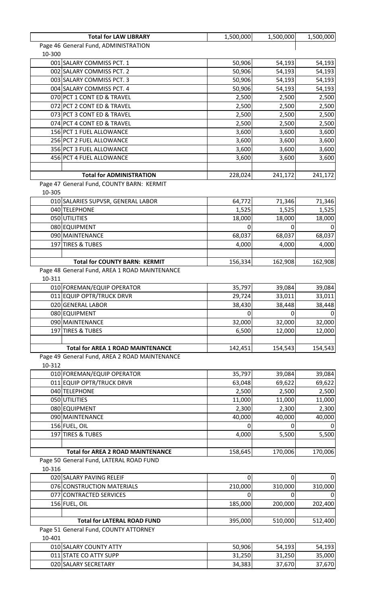| <b>Total for LAW LIBRARY</b>                  | 1,500,000 | 1,500,000   | 1,500,000 |
|-----------------------------------------------|-----------|-------------|-----------|
| Page 46 General Fund, ADMINISTRATION          |           |             |           |
| 10-300                                        |           |             |           |
| 001 SALARY COMMISS PCT. 1                     | 50,906    | 54,193      | 54,193    |
| 002 SALARY COMMISS PCT. 2                     | 50,906    | 54,193      | 54,193    |
| 003 SALARY COMMISS PCT. 3                     | 50,906    | 54,193      | 54,193    |
| 004 SALARY COMMISS PCT. 4                     | 50,906    | 54,193      | 54,193    |
| 070 PCT 1 CONT ED & TRAVEL                    | 2,500     | 2,500       | 2,500     |
| 072 PCT 2 CONT ED & TRAVEL                    | 2,500     | 2,500       | 2,500     |
| 073 PCT 3 CONT ED & TRAVEL                    | 2,500     | 2,500       | 2,500     |
| 074 PCT 4 CONT ED & TRAVEL                    | 2,500     | 2,500       | 2,500     |
| 156 PCT 1 FUEL ALLOWANCE                      | 3,600     | 3,600       | 3,600     |
| 256 PCT 2 FUEL ALLOWANCE                      | 3,600     | 3,600       | 3,600     |
| 356 PCT 3 FUEL ALLOWANCE                      | 3,600     | 3,600       | 3,600     |
| 456 PCT 4 FUEL ALLOWANCE                      | 3,600     | 3,600       | 3,600     |
|                                               |           |             |           |
| <b>Total for ADMINISTRATION</b>               | 228,024   | 241,172     | 241,172   |
| Page 47 General Fund, COUNTY BARN: KERMIT     |           |             |           |
| 10-305                                        |           |             |           |
| 010 SALARIES SUPVSR, GENERAL LABOR            | 64,772    | 71,346      | 71,346    |
| 040 TELEPHONE                                 | 1,525     | 1,525       | 1,525     |
| 050 UTILITIES                                 | 18,000    | 18,000      | 18,000    |
| 080 EQUIPMENT                                 | 0         | 0           |           |
| 090 MAINTENANCE                               | 68,037    | 68,037      | 68,037    |
| 197 TIRES & TUBES                             | 4,000     | 4,000       | 4,000     |
|                                               |           |             |           |
| <b>Total for COUNTY BARN: KERMIT</b>          | 156,334   | 162,908     | 162,908   |
| Page 48 General Fund, AREA 1 ROAD MAINTENANCE |           |             |           |
| 10-311                                        |           |             |           |
| 010 FOREMAN/EQUIP OPERATOR                    | 35,797    | 39,084      | 39,084    |
| 011 EQUIP OPTR/TRUCK DRVR                     | 29,724    | 33,011      | 33,011    |
| 020 GENERAL LABOR                             | 38,430    | 38,448      | 38,448    |
| 080 EQUIPMENT                                 | 0         | U           |           |
| 090 MAINTENANCE                               | 32,000    | 32,000      | 32,000    |
| 197 TIRES & TUBES                             | 6,500     | 12,000      | 12,000    |
|                                               |           |             |           |
| <b>Total for AREA 1 ROAD MAINTENANCE</b>      | 142,451   | 154,543     | 154,543   |
| Page 49 General Fund, AREA 2 ROAD MAINTENANCE |           |             |           |
| 10-312                                        |           |             |           |
| 010 FOREMAN/EQUIP OPERATOR                    | 35,797    | 39,084      | 39,084    |
| 011 EQUIP OPTR/TRUCK DRVR                     | 63,048    | 69,622      | 69,622    |
| 040 TELEPHONE                                 | 2,500     | 2,500       | 2,500     |
| 050 UTILITIES                                 | 11,000    | 11,000      | 11,000    |
| 080 EQUIPMENT                                 | 2,300     | 2,300       | 2,300     |
| 090 MAINTENANCE                               | 40,000    | 40,000      | 40,000    |
| 156 FUEL, OIL                                 | 0         |             |           |
| 197 TIRES & TUBES                             | 4,000     | 5,500       | 5,500     |
|                                               |           |             |           |
| <b>Total for AREA 2 ROAD MAINTENANCE</b>      |           | 170,006     | 170,006   |
| Page 50 General Fund, LATERAL ROAD FUND       | 158,645   |             |           |
|                                               |           |             |           |
| 10-316                                        |           |             |           |
| 020 SALARY PAVING RELEIF                      | 0         | $\mathbf 0$ |           |
| 076 CONSTRUCTION MATERIALS                    | 210,000   | 310,000     | 310,000   |
| 077 CONTRACTED SERVICES                       | 0         | 0           |           |
| 156 FUEL, OIL                                 | 185,000   | 200,000     | 202,400   |
|                                               |           |             |           |
| <b>Total for LATERAL ROAD FUND</b>            | 395,000   | 510,000     | 512,400   |
| Page 51 General Fund, COUNTY ATTORNEY         |           |             |           |
| 10-401                                        |           |             |           |
| 010 SALARY COUNTY ATTY                        | 50,906    | 54,193      | 54,193    |
| 011 STATE CO ATTY SUPP                        | 31,250    | 31,250      | 35,000    |
| 020 SALARY SECRETARY                          | 34,383    | 37,670      | 37,670    |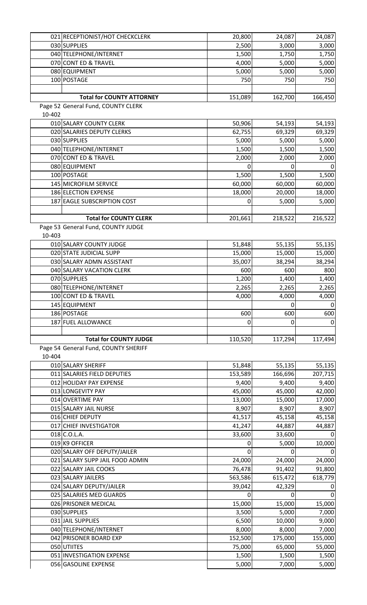|        | 021 RECEPTIONIST/HOT CHECKCLERK                   | 20,800         | 24,087            | 24,087         |
|--------|---------------------------------------------------|----------------|-------------------|----------------|
|        | 030 SUPPLIES                                      | 2,500          | 3,000             | 3,000          |
|        | 040 TELEPHONE/INTERNET                            | 1,500          | 1,750             | 1,750          |
|        | 070 CONT ED & TRAVEL                              | 4,000          | 5,000             | 5,000          |
|        | 080 EQUIPMENT                                     | 5,000          | 5,000             | 5,000          |
|        | 100 POSTAGE                                       | 750            | 750               | 750            |
|        |                                                   |                |                   |                |
|        | <b>Total for COUNTY ATTORNEY</b>                  | 151,089        | 162,700           | 166,450        |
|        | Page 52 General Fund, COUNTY CLERK                |                |                   |                |
| 10-402 |                                                   |                |                   |                |
|        | 010 SALARY COUNTY CLERK                           | 50,906         | 54,193            | 54,193         |
|        | 020 SALARIES DEPUTY CLERKS                        | 62,755         | 69,329            | 69,329         |
|        | 030 SUPPLIES                                      | 5,000          |                   |                |
|        |                                                   |                | 5,000             | 5,000          |
|        | 040 TELEPHONE/INTERNET                            | 1,500          | 1,500             | 1,500          |
|        | 070 CONT ED & TRAVEL                              | 2,000          | 2,000             | 2,000          |
|        | 080 EQUIPMENT                                     | 0              | 0                 | $\mathbf 0$    |
|        | 100 POSTAGE                                       | 1,500          | 1,500             | 1,500          |
|        | 145 MICROFILM SERVICE                             | 60,000         | 60,000            | 60,000         |
|        | 186 ELECTION EXPENSE                              | 18,000         | 20,000            | 18,000         |
|        | 187 EAGLE SUBSCRIPTION COST                       | 0              | 5,000             | 5,000          |
|        |                                                   |                |                   |                |
|        | <b>Total for COUNTY CLERK</b>                     | 201,661        | 218,522           | 216,522        |
|        | Page 53 General Fund, COUNTY JUDGE                |                |                   |                |
| 10-403 |                                                   |                |                   |                |
|        | 010 SALARY COUNTY JUDGE                           | 51,848         | 55,135            | 55,135         |
|        | 020 STATE JUDICIAL SUPP                           | 15,000         | 15,000            | 15,000         |
|        | 030 SALARY ADMN ASSISTANT                         | 35,007         | 38,294            | 38,294         |
|        | 040 SALARY VACATION CLERK                         | 600            | 600               | 800            |
|        | 070 SUPPLIES                                      | 1,200          | 1,400             | 1,400          |
|        | 080 TELEPHONE/INTERNET                            | 2,265          | 2,265             | 2,265          |
|        | 100 CONT ED & TRAVEL                              | 4,000          | 4,000             | 4,000          |
|        |                                                   |                |                   |                |
|        | 145 EQUIPMENT                                     |                | $\pmb{0}$         | $\pmb{0}$      |
|        | 186 POSTAGE                                       | 600            | 600               | 600            |
|        | 187 FUEL ALLOWANCE                                | 0              | 0                 |                |
|        |                                                   |                |                   | $\mathbf 0$    |
|        | <b>Total for COUNTY JUDGE</b>                     | 110,520        | 117,294           |                |
|        | Page 54 General Fund, COUNTY SHERIFF              |                |                   |                |
| 10-404 |                                                   |                |                   |                |
|        | 010 SALARY SHERIFF                                |                |                   | 117,494        |
|        | 011 SALARIES FIELD DEPUTIES                       | 51,848         | 55,135<br>166,696 | 55,135         |
|        |                                                   | 153,589        |                   | 207,715        |
|        | 012 HOLIDAY PAY EXPENSE                           | 9,400          | 9,400             | 9,400          |
|        | 013 LONGEVITY PAY                                 | 45,000         | 45,000            | 42,000         |
|        | 014 OVERTIME PAY                                  | 13,000         | 15,000            | 17,000         |
|        | 015 SALARY JAIL NURSE                             | 8,907          | 8,907             | 8,907          |
|        | 016 CHIEF DEPUTY                                  | 41,517         | 45,158            | 45,158         |
|        | 017 CHIEF INVESTIGATOR                            | 41,247         | 44,887            | 44,887         |
|        | $018$ C.O.L.A.                                    | 33,600         | 33,600            | $\overline{0}$ |
|        | 019 K9 OFFICER                                    | 0              | 5,000             | 10,000         |
|        | 020 SALARY OFF DEPUTY/JAILER                      | 0              | 0                 | 0              |
|        | 021 SALARY SUPP JAIL FOOD ADMIN                   | 24,000         | 24,000            | 24,000         |
|        | 022 SALARY JAIL COOKS                             | 76,478         | 91,402            | 91,800         |
|        | 023 SALARY JAILERS                                | 563,586        | 615,472           | 618,779        |
|        | 024 SALARY DEPUTY/JAILER                          | 39,042         | 42,329            | 0              |
|        | 025 SALARIES MED GUARDS                           | 0              | 0                 | $\mathbf 0$    |
|        | 026 PRISONER MEDICAL                              | 15,000         | 15,000            | 15,000         |
|        | 030 SUPPLIES                                      | 3,500          | 5,000             | 7,000          |
|        | 031 JAIL SUPPLIES                                 | 6,500          | 10,000            | 9,000          |
|        | 040 TELEPHONE/INTERNET                            | 8,000          | 8,000             | 7,000          |
|        | 042 PRISONER BOARD EXP                            | 152,500        | 175,000           | 155,000        |
|        | 050 UTIITES                                       | 75,000         | 65,000            | 55,000         |
|        | 051 INVESTIGATION EXPENSE<br>056 GASOLINE EXPENSE | 1,500<br>5,000 | 1,500<br>7,000    | 1,500<br>5,000 |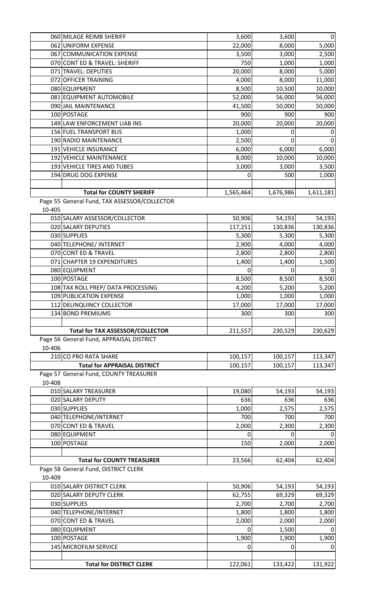|        | 060 MILAGE REIMB SHERIFF                     | 3,600     | 3,600     | $\overline{0}$  |
|--------|----------------------------------------------|-----------|-----------|-----------------|
|        | 062 UNIFORM EXPENSE                          | 22,000    | 8,000     | 5,000           |
|        | 067 COMMUNICATION EXPENSE                    | 3,500     | 3,000     | 2,500           |
|        | 070 CONT ED & TRAVEL: SHERIFF                | 750       | 1,000     | 1,000           |
|        | 071 TRAVEL: DEPUTIES                         | 20,000    | 8,000     | 5,000           |
|        | 072 OFFICER TRAINING                         | 4,000     | 8,000     | 11,000          |
|        | 080 EQUIPMENT                                | 8,500     | 10,500    | 10,000          |
|        | 081 EQUIPMENT AUTOMOBILE                     | 52,000    | 56,000    | 56,000          |
|        | 090 JAIL MAINTENANCE                         | 41,500    | 50,000    | 50,000          |
|        | 100 POSTAGE                                  | 900       | 900       | 900             |
|        | 149 LAW ENFORCEMENT LIAB INS                 | 20,000    | 20,000    | 20,000          |
|        | 156 FUEL TRANSPORT BUS                       | 1,000     | 0         |                 |
|        | 190 RADIO MAINTENANCE                        | 2,500     | 0         | $\Omega$        |
|        | 191 VEHICLE INSURANCE                        | 6,000     | 6,000     | 6,000           |
|        | 192 VEHICLE MAINTENANCE                      | 8,000     | 10,000    | 10,000          |
|        | 193 VEHICLE TIRES AND TUBES                  | 3,000     | 3,000     | 3,500           |
|        | 194 DRUG DOG EXPENSE                         | 0         | 500       | 1,000           |
|        |                                              |           |           |                 |
|        | <b>Total for COUNTY SHERIFF</b>              |           |           |                 |
|        |                                              | 1,565,464 | 1,676,986 | 1,611,181       |
|        | Page 55 General Fund, TAX ASSESSOR/COLLECTOR |           |           |                 |
| 10-405 |                                              |           |           |                 |
|        | 010 SALARY ASSESSOR/COLLECTOR                | 50,906    | 54,193    | 54,193          |
|        | 020 SALARY DEPUTIES                          | 117,251   | 130,836   | 130,836         |
|        | 030 SUPPLIES                                 | 5,300     | 5,300     | 5,300           |
|        | 040 TELEPHONE/ INTERNET                      | 2,900     | 4,000     | 4,000           |
|        | 070 CONT ED & TRAVEL                         | 2,800     | 2,800     | 2,800           |
|        | 071 CHAPTER 19 EXPENDITURES                  | 1,400     | 1,400     | 1,500           |
|        | 080 EQUIPMENT                                | 0         | 0         | $\Omega$        |
|        | 100 POSTAGE                                  | 8,500     | 8,500     | 8,500           |
|        | 108 TAX ROLL PREP/ DATA PROCESSING           | 4,200     | 5,200     | 5,200           |
|        | 109 PUBLICATION EXPENSE                      | 1,000     | 1,000     | 1,000           |
|        | 112 DELINQUINCY COLLECTOR                    | 17,000    | 17,000    | 17,000          |
|        | 134 BOND PREMIUMS                            | 300       | 300       | 300             |
|        |                                              |           |           |                 |
|        | <b>Total for TAX ASSESSOR/COLLECTOR</b>      | 211,557   | 230,529   | 230,629         |
|        | Page 56 General Fund, APPRAISAL DISTRICT     |           |           |                 |
| 10-406 |                                              |           |           |                 |
|        | 210 CO PRO RATA SHARE                        | 100,157   | 100,157   | 113,347         |
|        | <b>Total for APPRAISAL DISTRICT</b>          | 100,157   | 100,157   | 113,347         |
|        | Page 57 General Fund, COUNTY TREASURER       |           |           |                 |
| 10-408 |                                              |           |           |                 |
|        | 010 SALARY TREASURER                         | 19,080    | 54,193    | 54,193          |
|        | 020 SALARY DEPUTY                            | 636       | 636       | 636             |
|        | 030 SUPPLIES                                 | 1,000     | 2,575     | 2,575           |
|        | 040 TELEPHONE/INTERNET                       | 700       | 700       | 700             |
|        | 070 CONT ED & TRAVEL                         | 2,000     | 2,300     | 2,300           |
|        | 080 EQUIPMENT                                | 0         | 0         | 0               |
|        | 100 POSTAGE                                  | 150       | 2,000     | 2,000           |
|        |                                              |           |           |                 |
|        | <b>Total for COUNTY TREASURER</b>            | 23,566    | 62,404    | 62,404          |
|        | Page 58 General Fund, DISTRICT CLERK         |           |           |                 |
| 10-409 |                                              |           |           |                 |
|        | 010 SALARY DISTRICT CLERK                    | 50,906    | 54,193    | 54,193          |
|        | 020 SALARY DEPUTY CLERK                      | 62,755    | 69,329    |                 |
|        | 030 SUPPLIES                                 | 2,700     | 2,700     | 69,329<br>2,700 |
|        |                                              |           |           |                 |
|        | 040 TELEPHONE/INTERNET                       | 1,800     | 1,800     | 1,800           |
|        | 070 CONT ED & TRAVEL                         | 2,000     | 2,000     | 2,000           |
|        | 080 EQUIPMENT                                | 0         | 1,500     | <sup>0</sup>    |
|        | 100 POSTAGE                                  | 1,900     | 1,900     | 1,900           |
|        | 145 MICROFILM SERVICE                        | 0         | 0         | 0               |
|        |                                              |           |           |                 |
|        | <b>Total for DISTRICT CLERK</b>              | 122,061   | 133,422   | 131,922         |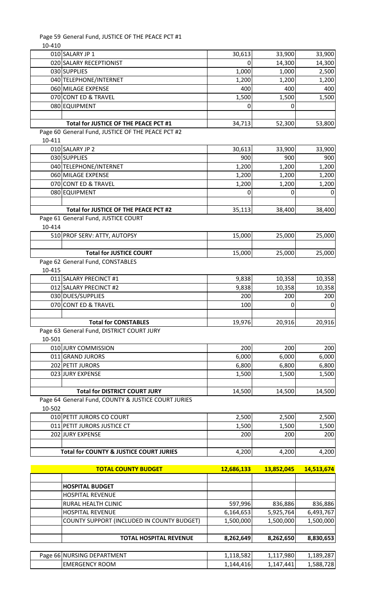Page 59 General Fund, JUSTICE OF THE PEACE PCT #1

10-410

|        | 010 SALARY JP 1                                     | 30,613                 | 33,900                 | 33,900                 |
|--------|-----------------------------------------------------|------------------------|------------------------|------------------------|
|        | 020 SALARY RECEPTIONIST                             | 0                      | 14,300                 | 14,300                 |
|        | 030 SUPPLIES                                        | 1,000                  | 1,000                  | 2,500                  |
|        | 040 TELEPHONE/INTERNET                              | 1,200                  | 1,200                  | 1,200                  |
|        | 060 MILAGE EXPENSE                                  | 400                    | 400                    | 400                    |
|        | 070 CONT ED & TRAVEL                                | 1,500                  | 1,500                  | 1,500                  |
|        | 080 EQUIPMENT                                       | 0                      | 0                      |                        |
|        | Total for JUSTICE OF THE PEACE PCT #1               |                        |                        |                        |
|        | Page 60 General Fund, JUSTICE OF THE PEACE PCT #2   | 34,713                 | 52,300                 | 53,800                 |
| 10-411 |                                                     |                        |                        |                        |
|        | 010 SALARY JP 2                                     | 30,613                 | 33,900                 | 33,900                 |
|        | 030 SUPPLIES                                        | 900                    | 900                    | 900                    |
|        | 040 TELEPHONE/INTERNET                              | 1,200                  | 1,200                  | 1,200                  |
|        | 060 MILAGE EXPENSE                                  | 1,200                  | 1,200                  | 1,200                  |
|        | 070 CONT ED & TRAVEL                                | 1,200                  | 1,200                  | 1,200                  |
|        | 080 EQUIPMENT                                       | 0                      | 0                      | 0                      |
|        |                                                     |                        |                        |                        |
|        | Total for JUSTICE OF THE PEACE PCT #2               | 35,113                 | 38,400                 | 38,400                 |
|        | Page 61 General Fund, JUSTICE COURT                 |                        |                        |                        |
| 10-414 |                                                     |                        |                        |                        |
|        | 510 PROF SERV: ATTY, AUTOPSY                        | 15,000                 | 25,000                 | 25,000                 |
|        | <b>Total for JUSTICE COURT</b>                      | 15,000                 | 25,000                 | 25,000                 |
|        | Page 62 General Fund, CONSTABLES                    |                        |                        |                        |
| 10-415 |                                                     |                        |                        |                        |
|        | 011 SALARY PRECINCT #1                              | 9,838                  | 10,358                 | 10,358                 |
|        | 012 SALARY PRECINCT #2                              | 9,838                  | 10,358                 | 10,358                 |
|        | 030 DUES/SUPPLIES                                   | 200                    | 200                    | 200                    |
|        | 070 CONT ED & TRAVEL                                | 100                    | 0                      | $\mathbf 0$            |
|        |                                                     |                        |                        |                        |
|        |                                                     |                        |                        |                        |
|        | <b>Total for CONSTABLES</b>                         | 19,976                 | 20,916                 | 20,916                 |
|        | Page 63 General Fund, DISTRICT COURT JURY           |                        |                        |                        |
| 10-501 |                                                     |                        |                        |                        |
|        | 010 JURY COMMISSION                                 | 200                    | 200                    | 200                    |
|        | 011 GRAND JURORS                                    | 6,000                  | 6,000                  | 6,000                  |
|        | 202 PETIT JURORS                                    | 6,800                  | 6,800                  | 6,800                  |
|        | 023 JURY EXPENSE                                    | 1,500                  | 1,500                  | 1,500                  |
|        | <b>Total for DISTRICT COURT JURY</b>                | 14,500                 | 14,500                 | 14,500                 |
|        | Page 64 General Fund, COUNTY & JUSTICE COURT JURIES |                        |                        |                        |
| 10-502 |                                                     |                        |                        |                        |
|        | 010 PETIT JURORS CO COURT                           | 2,500                  | 2,500                  | 2,500                  |
|        | 011 PETIT JURORS JUSTICE CT                         | 1,500                  | 1,500                  | 1,500                  |
|        | 202 JURY EXPENSE                                    | 200                    | 200                    | 200                    |
|        |                                                     |                        |                        |                        |
|        | <b>Total for COUNTY &amp; JUSTICE COURT JURIES</b>  | 4,200                  | 4,200                  | 4,200                  |
|        |                                                     |                        |                        |                        |
|        | <b>TOTAL COUNTY BUDGET</b>                          | 12,686,133             | 13,852,045             | 14,513,674             |
|        | <b>HOSPITAL BUDGET</b>                              |                        |                        |                        |
|        | <b>HOSPITAL REVENUE</b>                             |                        |                        |                        |
|        | <b>RURAL HEALTH CLINIC</b>                          | 597,996                | 836,886                | 836,886                |
|        | <b>HOSPITAL REVENUE</b>                             | 6,164,653              | 5,925,764              | 6,493,767              |
|        | COUNTY SUPPORT (INCLUDED IN COUNTY BUDGET)          | 1,500,000              | 1,500,000              | 1,500,000              |
|        |                                                     |                        |                        |                        |
|        | <b>TOTAL HOSPITAL REVENUE</b>                       | 8,262,649              | 8,262,650              | 8,830,653              |
|        |                                                     |                        |                        |                        |
|        | Page 66 NURSING DEPARTMENT<br><b>EMERGENCY ROOM</b> | 1,118,582<br>1,144,416 | 1,117,980<br>1,147,441 | 1,189,287<br>1,588,728 |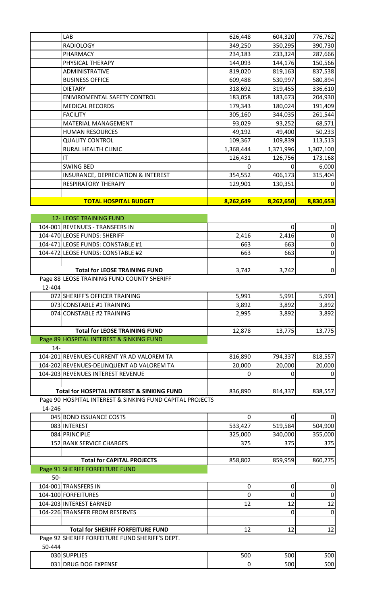| LAB                                                       | 626,448          | 604,320   | 776,762     |
|-----------------------------------------------------------|------------------|-----------|-------------|
| <b>RADIOLOGY</b>                                          | 349,250          | 350,295   | 390,730     |
| PHARMACY                                                  | 234,183          | 233,324   | 287,666     |
| PHYSICAL THERAPY                                          | 144,093          | 144,176   | 150,566     |
| ADMINISTRATIVE                                            | 819,020          | 819,163   | 837,538     |
| <b>BUSINESS OFFICE</b>                                    | 609,488          | 530,997   | 580,894     |
| <b>DIETARY</b>                                            | 318,692          | 319,455   | 336,610     |
| ENIVIROMENTAL SAFETY CONTROL                              | 183,058          | 183,673   | 204,930     |
| <b>MEDICAL RECORDS</b>                                    | 179,343          | 180,024   | 191,409     |
| <b>FACILITY</b>                                           | 305,160          | 344,035   | 261,544     |
| <b>MATERIAL MANAGEMENT</b>                                | 93,029           | 93,252    | 68,571      |
| <b>HUMAN RESOURCES</b>                                    | 49,192           | 49,400    | 50,233      |
| <b>QUALITY CONTROL</b>                                    | 109,367          | 109,839   | 113,513     |
| RURAL HEALTH CLINIC                                       | 1,368,444        | 1,371,996 | 1,307,100   |
| IT                                                        | 126,431          | 126,756   | 173,168     |
| <b>SWING BED</b>                                          | 0                | 0         | 6,000       |
| INSURANCE, DEPRECIATION & INTEREST                        | 354,552          | 406,173   | 315,404     |
| <b>RESPIRATORY THERAPY</b>                                | 129,901          | 130,351   | 0           |
|                                                           |                  |           |             |
| <b>TOTAL HOSPITAL BUDGET</b>                              | 8,262,649        | 8,262,650 | 8,830,653   |
|                                                           |                  |           |             |
| <b>12- LEOSE TRAINING FUND</b>                            |                  |           |             |
| 104-001 REVENUES - TRANSFERS IN                           |                  | 0         | $\mathbf 0$ |
| 104-470 LEOSE FUNDS: SHERIFF                              | 2,416            | 2,416     | $\pmb{0}$   |
| 104-471 LEOSE FUNDS: CONSTABLE #1                         | 663              | 663       | $\pmb{0}$   |
| 104-472 LEOSE FUNDS: CONSTABLE #2                         | 663              | 663       | $\pmb{0}$   |
|                                                           |                  |           |             |
| <b>Total for LEOSE TRAINING FUND</b>                      | 3,742            | 3,742     | $\pmb{0}$   |
| Page 88 LEOSE TRAINING FUND COUNTY SHERIFF                |                  |           |             |
| 12-404                                                    |                  |           |             |
| 072 SHERIFF'S OFFICER TRAINING                            | 5,991            | 5,991     | 5,991       |
| 073 CONSTABLE #1 TRAINING                                 | 3,892            | 3,892     | 3,892       |
| 074 CONSTABLE #2 TRAINING                                 | 2,995            | 3,892     | 3,892       |
| <b>Total for LEOSE TRAINING FUND</b>                      | 12,878           | 13,775    | 13,775      |
| Page 89 HOSPITAL INTEREST & SINKING FUND                  |                  |           |             |
| $14-$                                                     |                  |           |             |
| 104-201 REVENUES-CURRENT YR AD VALOREM TA                 | 816,890          | 794,337   | 818,557     |
| 104-202 REVENUES-DELINQUENT AD VALOREM TA                 | 20,000           | 20,000    | 20,000      |
| 104-203 REVENUES INTEREST REVENUE                         | 0                | 0         | 0           |
|                                                           |                  |           |             |
| <b>Total for HOSPITAL INTEREST &amp; SINKING FUND</b>     | 836,890          | 814,337   | 838,557     |
| Page 90 HOSPITAL INTEREST & SINKING FUND CAPITAL PROJECTS |                  |           |             |
| 14-246                                                    |                  |           |             |
| 045 BOND ISSUANCE COSTS                                   | 0                | 0         |             |
| 083 INTEREST                                              | 533,427          | 519,584   | 504,900     |
| 084 PRINCIPLE                                             | 325,000          | 340,000   | 355,000     |
| 152 BANK SERVICE CHARGES                                  | 375              | 375       | 375         |
|                                                           |                  |           |             |
| <b>Total for CAPITAL PROJECTS</b>                         | 858,802          | 859,959   | 860,275     |
| Page 91 SHERIFF FORFEITURE FUND                           |                  |           |             |
| $50-$                                                     |                  |           |             |
| 104-001 TRANSFERS IN                                      | $\boldsymbol{0}$ | $\pmb{0}$ | 0           |
| 104-100 FORFEITURES                                       | 0                | 0         | $\pmb{0}$   |
| 104-203 INTEREST EARNED                                   | 12               | 12        | 12          |
| 104-226 TRANSFER FROM RESERVES                            |                  | 0         | $\mathbf 0$ |
|                                                           |                  |           |             |
| <b>Total for SHERIFF FORFEITURE FUND</b>                  | 12               | 12        | 12          |
| Page 92 SHERIFF FORFEITURE FUND SHERIFF'S DEPT.           |                  |           |             |
| 50-444                                                    |                  |           |             |
| 030 SUPPLIES                                              | 500              | 500       | 500         |
| 031 DRUG DOG EXPENSE                                      | 0                | 500       | 500         |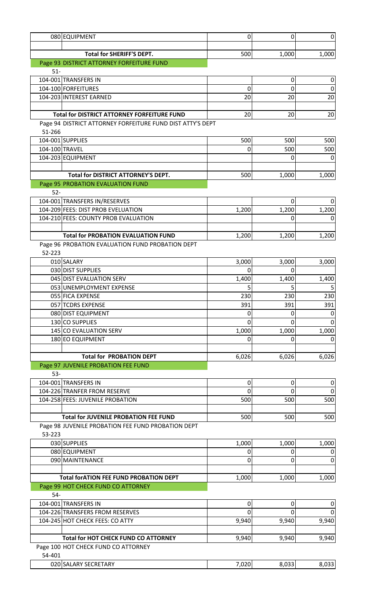|                | 080 EQUIPMENT                                                          | $\mathbf 0$ | 0              | $\overline{0}$           |
|----------------|------------------------------------------------------------------------|-------------|----------------|--------------------------|
|                |                                                                        |             |                |                          |
|                | <b>Total for SHERIFF'S DEPT.</b>                                       | 500         | 1,000          | 1,000                    |
|                | Page 93 DISTRICT ATTORNEY FORFEITURE FUND                              |             |                |                          |
| $51-$          | 104-001 TRANSFERS IN                                                   |             |                | $\overline{0}$           |
|                | 104-100 FORFEITURES                                                    | 0           | $\pmb{0}$<br>0 | $\overline{0}$           |
|                | 104-203 INTEREST EARNED                                                | 20          | 20             | 20                       |
|                |                                                                        |             |                |                          |
|                | <b>Total for DISTRICT ATTORNEY FORFEITURE FUND</b>                     | 20          | 20             | 20                       |
|                | Page 94 DISTRICT ATTORNEY FORFEITURE FUND DIST ATTY'S DEPT             |             |                |                          |
| 51-266         |                                                                        |             |                |                          |
|                | 104-001 SUPPLIES                                                       | 500         | 500            | 500                      |
| 104-100 TRAVEL |                                                                        | 0           | 500            | 500                      |
|                | 104-203 EQUIPMENT                                                      |             | 0              | $\mathbf 0$              |
|                | <b>Total for DISTRICT ATTORNEY'S DEPT.</b>                             | 500         | 1,000          | 1,000                    |
|                | Page 95 PROBATION EVALUATION FUND                                      |             |                |                          |
| $52-$          |                                                                        |             |                |                          |
|                | 104-001 TRANSFERS IN/RESERVES                                          |             | 0              | $\overline{0}$           |
|                | 104-209 FEES: DIST PROB EVELUATION                                     | 1,200       | 1,200          | 1,200                    |
|                | 104-210 FEES: COUNTY PROB EVALUATION                                   |             | 0              | $\boldsymbol{0}$         |
|                |                                                                        |             |                |                          |
|                | <b>Total for PROBATION EVALUATION FUND</b>                             | 1,200       | 1,200          | 1,200                    |
|                | Page 96 PROBATION EVALUATION FUND PROBATION DEPT                       |             |                |                          |
| 52-223         |                                                                        |             |                |                          |
|                | 010 SALARY<br>030 DIST SUPPLIES                                        | 3,000       | 3,000          | 3,000                    |
|                | 045 DIST EVALUATION SERV                                               | 0<br>1,400  | 0<br>1,400     | 1,400                    |
|                | 053 UNEMPLOYMENT EXPENSE                                               | 5           | 5              | 5                        |
|                | 055 FICA EXPENSE                                                       | 230         | 230            | 230                      |
|                | 057 TCDRS EXPENSE                                                      | 391         | 391            | 391                      |
|                | 080 DIST EQUIPMENT                                                     | 0           | 0              | $\mathbf 0$              |
|                | 130 CO SUPPLIES                                                        | 0           | 0              | $\mathbf 0$              |
|                | 145 CO EVALUATION SERV                                                 | 1,000       | 1,000          | 1,000                    |
|                | 180 EO EQUIPMENT                                                       | 0           | 0              | $\mathbf 0$              |
|                |                                                                        |             |                |                          |
|                | <b>Total for PROBATION DEPT</b><br>Page 97 JUVENILE PROBATION FEE FUND | 6,026       | 6,026          | 6,026                    |
| $53 -$         |                                                                        |             |                |                          |
|                | 104-001 TRANSFERS IN                                                   | $\mathbf 0$ | 0              | $\overline{0}$           |
|                | 104-226 TRANFER FROM RESERVE                                           | $\Omega$    | $\mathbf 0$    | $\overline{0}$           |
|                | 104-258 FEES: JUVENILE PROBATION                                       | 500         | 500            | 500                      |
|                |                                                                        |             |                |                          |
|                | <b>Total for JUVENILE PROBATION FEE FUND</b>                           | 500         | 500            | 500                      |
|                | Page 98 JUVENILE PROBATION FEE FUND PROBATION DEPT                     |             |                |                          |
| 53-223         |                                                                        |             |                |                          |
|                | 030 SUPPLIES                                                           | 1,000       | 1,000          | 1,000                    |
|                | 080 EQUIPMENT<br>090 MAINTENANCE                                       | 0<br>0      | 0              | $\mathbf 0$<br>$\pmb{0}$ |
|                |                                                                        |             | 0              |                          |
|                | <b>Total forATION FEE FUND PROBATION DEPT</b>                          | 1,000       | 1,000          | 1,000                    |
|                | Page 99 HOT CHECK FUND CO ATTORNEY                                     |             |                |                          |
| 54-            |                                                                        |             |                |                          |
|                | 104-001 TRANSFERS IN                                                   | 0           | 0              | $\pmb{0}$                |
|                | 104-226 TRANSFERS FROM RESERVES                                        | 0           | 0              | $\pmb{0}$                |
|                | 104-245 HOT CHECK FEES: CO ATTY                                        | 9,940       | 9,940          | 9,940                    |
|                |                                                                        |             |                |                          |
|                | <b>Total for HOT CHECK FUND CO ATTORNEY</b>                            | 9,940       | 9,940          | 9,940                    |
|                | Page 100 HOT CHECK FUND CO ATTORNEY                                    |             |                |                          |
| 54-401         |                                                                        |             |                |                          |
|                | 020 SALARY SECRETARY                                                   | 7,020       | 8,033          | 8,033                    |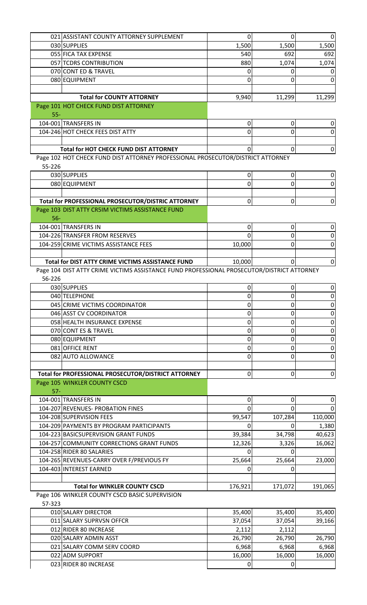|        | 021 ASSISTANT COUNTY ATTORNEY SUPPLEMENT                                                   | 0        | 0                | 0            |
|--------|--------------------------------------------------------------------------------------------|----------|------------------|--------------|
|        | 030 SUPPLIES                                                                               | 1,500    | 1,500            | 1,500        |
|        | 055 FICA TAX EXPENSE                                                                       | 540      | 692              | 692          |
|        | 057 TCDRS CONTRIBUTION                                                                     | 880      | 1,074            | 1,074        |
|        | 070 CONT ED & TRAVEL                                                                       | 0        |                  |              |
|        | 080 EQUIPMENT                                                                              | 0        | 0                | 0            |
|        |                                                                                            |          |                  |              |
|        | <b>Total for COUNTY ATTORNEY</b>                                                           | 9,940    | 11,299           | 11,299       |
| $55-$  | Page 101 HOT CHECK FUND DIST ATTORNEY                                                      |          |                  |              |
|        | 104-001 TRANSFERS IN                                                                       | 0        | 0                | 0            |
|        | 104-246 HOT CHECK FEES DIST ATTY                                                           | 0        | 0                | 0            |
|        |                                                                                            |          |                  |              |
|        | <b>Total for HOT CHECK FUND DIST ATTORNEY</b>                                              | 0        | $\mathbf 0$      | 0            |
|        | Page 102 HOT CHECK FUND DIST ATTORNEY PROFESSIONAL PROSECUTOR/DISTRICT ATTORNEY            |          |                  |              |
| 55-226 |                                                                                            |          |                  |              |
|        | 030 SUPPLIES                                                                               | 0        | 0                | 0            |
|        | 080 EQUIPMENT                                                                              | 0        | 0                | 0            |
|        |                                                                                            |          |                  |              |
|        | Total for PROFESSIONAL PROSECUTOR/DISTRIC ATTORNEY                                         | 0        | $\boldsymbol{0}$ | $\pmb{0}$    |
| $56-$  | Page 103 DIST ATTY CR5IM VICTIMS ASSISTANCE FUND                                           |          |                  |              |
|        | 104-001 TRANSFERS IN                                                                       | 0        | 0                | 0            |
|        | 104-226 TRANSFER FROM RESERVES                                                             | $\Omega$ | 0                | $\mathbf 0$  |
|        | 104-259 CRIME VICTIMS ASSISTANCE FEES                                                      | 10,000   | 0                | 0            |
|        |                                                                                            |          |                  |              |
|        | Total for DIST ATTY CRIME VICTIMS ASSISTANCE FUND                                          | 10,000   | $\Omega$         | $\mathbf 0$  |
|        | Page 104 DIST ATTY CRIME VICTIMS ASSISTANCE FUND PROFESSIONAL PROSECUTOR/DISTRICT ATTORNEY |          |                  |              |
| 56-226 |                                                                                            |          |                  |              |
|        | 030 SUPPLIES                                                                               | 0        | 0                | 0            |
|        | 040 TELEPHONE                                                                              | 0        | 0                | $\mathbf 0$  |
|        | 045 CRIME VICTIMS COORDINATOR                                                              | 0        | 0                | 0            |
|        | 046 ASST CV COORDINATOR                                                                    | 0        | 0                | 0            |
|        | 058 HEALTH INSURANCE EXPENSE                                                               | 0        | 0                | $\mathbf 0$  |
|        | 070 CONT ES & TRAVEL                                                                       | 0        | 0                | $\mathbf 0$  |
|        | 080 EQUIPMENT                                                                              | 0        | 0                | $\pmb{0}$    |
|        | 081 OFFICE RENT                                                                            | 0        | 0                | $\pmb{0}$    |
|        | 082 AUTO ALLOWANCE                                                                         | 0        | 0                | 0            |
|        |                                                                                            |          |                  |              |
|        | Total for PROFESSIONAL PROSECUTOR/DISTRICT ATTORNEY                                        | 0        | $\boldsymbol{0}$ | $\pmb{0}$    |
| $57 -$ | Page 105 WINKLER COUNTY CSCD                                                               |          |                  |              |
|        | 104-001 TRANSFERS IN                                                                       | 0        | 0                | 0            |
|        | 104-207 REVENUES- PROBATION FINES                                                          | 0        | $\Omega$         | <sup>0</sup> |
|        | 104-208 SUPERVISION FEES                                                                   | 99,547   | 107,284          | 110,000      |
|        | 104-209 PAYMENTS BY PROGRAM PARTICIPANTS                                                   | 0        | <sup>0</sup>     | 1,380        |
|        | 104-223 BASICSUPERVISION GRANT FUNDS                                                       | 39,384   | 34,798           | 40,623       |
|        | 104-257 COMMUNITY CORRECTIONS GRANT FUNDS                                                  | 12,326   | 3,326            | 16,062       |
|        | 104-258 RIDER 80 SALARIES                                                                  | 0        | U                |              |
|        | 104-265 REVENUES-CARRY OVER F/PREVIOUS FY                                                  | 25,664   | 25,664           | 23,000       |
|        | 104-403 INTEREST EARNED                                                                    | 0        | 0                |              |
|        |                                                                                            |          |                  |              |
|        | <b>Total for WINKLER COUNTY CSCD</b>                                                       | 176,921  | 171,072          | 191,065      |
|        | Page 106 WINKLER COUNTY CSCD BASIC SUPERVISION                                             |          |                  |              |
| 57-323 |                                                                                            |          |                  |              |
|        | 010 SALARY DIRECTOR                                                                        | 35,400   | 35,400           | 35,400       |
|        | 011 SALARY SUPRVSN OFFCR                                                                   | 37,054   | 37,054           | 39,166       |

|                            | -- ,   |        |        |
|----------------------------|--------|--------|--------|
| 011 SALARY SUPRVSN OFFCR   | 37,054 | 37.054 | 39,166 |
| 012 RIDER 80 INCREASE      | 2,112  | 2,112  |        |
| 020 SALARY ADMIN ASST      | 26,790 | 26,790 | 26,790 |
| 021 SALARY COMM SERV COORD | 6,968  | 6,968  | 6,968  |
| 022 ADM SUPPORT            | 16,000 | 16,000 | 16,000 |
| 023 RIDER 80 INCREASE      |        |        |        |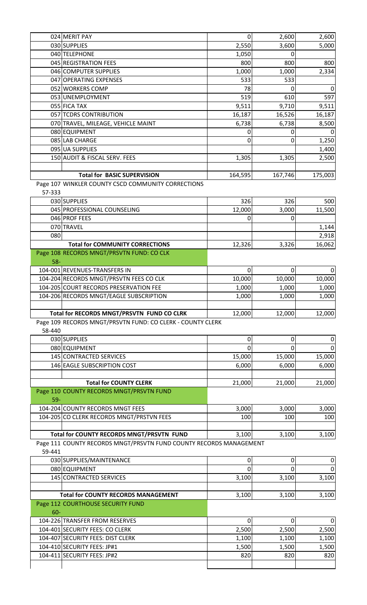|        | 024 MERIT PAY                                                      | 0             | 2,600       | 2,600          |
|--------|--------------------------------------------------------------------|---------------|-------------|----------------|
|        | 030 SUPPLIES                                                       | 2,550         | 3,600       | 5,000          |
|        | 040 TELEPHONE                                                      | 1,050         | 0           |                |
|        | 045 REGISTRATION FEES                                              | 800           | 800         | 800            |
|        | 046 COMPUTER SUPPLIES                                              | 1,000         | 1,000       | 2,334          |
|        | 047 OPERATING EXPENSES                                             | 533           | 533         |                |
|        | 052 WORKERS COMP                                                   | 78            | 0           | 0              |
|        | 053 UNEMPLOYMENT                                                   | 519           | 610         | 597            |
|        | 055 FICA TAX                                                       | 9,511         | 9,710       | 9,511          |
|        | 057 TCDRS CONTRIBUTION                                             | 16,187        | 16,526      | 16,187         |
|        | 070 TRAVEL, MILEAGE, VEHICLE MAINT                                 | 6,738         | 6,738       | 8,500          |
|        | 080 EQUIPMENT                                                      | 0             | 0           |                |
|        | 085 LAB CHARGE                                                     | 0             | 0           | 1,250          |
|        | 095 UA SUPPLIES                                                    |               |             | 1,400          |
|        |                                                                    |               |             |                |
|        | 150 AUDIT & FISCAL SERV. FEES                                      | 1,305         | 1,305       | 2,500          |
|        |                                                                    |               |             |                |
|        | <b>Total for BASIC SUPERVISION</b>                                 | 164,595       | 167,746     | 175,003        |
|        | Page 107 WINKLER COUNTY CSCD COMMUNITY CORRECTIONS                 |               |             |                |
| 57-333 |                                                                    |               |             |                |
|        | 030 SUPPLIES                                                       | 326           | 326         | 500            |
|        | 045 PROFESSIONAL COUNSELING                                        | 12,000        | 3,000       | 11,500         |
|        | 046 PROF FEES                                                      | 0             | 0           |                |
|        | 070 TRAVEL                                                         |               |             | 1,144          |
| 080    |                                                                    |               |             | 2,918          |
|        | <b>Total for COMMUNITY CORRECTIONS</b>                             | 12,326        | 3,326       | 16,062         |
|        | Page 108 RECORDS MNGT/PRSVTN FUND: CO CLK                          |               |             |                |
| $58 -$ |                                                                    |               |             |                |
|        | 104-001 REVENUES-TRANSFERS IN                                      | 0             | $\mathbf 0$ | $\overline{0}$ |
|        | 104-204 RECORDS MNGT/PRSVTN FEES CO CLK                            | 10,000        | 10,000      | 10,000         |
|        | 104-205 COURT RECORDS PRESERVATION FEE                             | 1,000         | 1,000       | 1,000          |
|        | 104-206 RECORDS MNGT/EAGLE SUBSCRIPTION                            | 1,000         | 1,000       | 1,000          |
|        |                                                                    |               |             |                |
|        | Total for RECORDS MNGT/PRSVTN FUND CO CLRK                         | 12,000        | 12,000      | 12,000         |
|        | Page 109 RECORDS MNGT/PRSVTN FUND: CO CLERK - COUNTY CLERK         |               |             |                |
| 58-440 |                                                                    |               |             |                |
|        | 030 SUPPLIES                                                       |               |             |                |
|        |                                                                    | 0<br>$\Omega$ | 0<br>0      | 0<br>$\Omega$  |
|        | 080 EQUIPMENT<br>145 CONTRACTED SERVICES                           |               |             |                |
|        |                                                                    | 15,000        | 15,000      | 15,000         |
|        | 146 EAGLE SUBSCRIPTION COST                                        | 6,000         | 6,000       | 6,000          |
|        |                                                                    |               |             |                |
|        | <b>Total for COUNTY CLERK</b>                                      | 21,000        | 21,000      | 21,000         |
|        | Page 110 COUNTY RECORDS MNGT/PRSVTN FUND                           |               |             |                |
| $59-$  |                                                                    |               |             |                |
|        | 104-204 COUNTY RECORDS MNGT FEES                                   | 3,000         | 3,000       | 3,000          |
|        | 104-205 CO CLERK RECORDS MNGT/PRSTVN FEES                          | 100           | 100         | 100            |
|        |                                                                    |               |             |                |
|        | Total for COUNTY RECORDS MNGT/PRSVTN FUND                          | 3,100         | 3,100       | 3,100          |
|        | Page 111 COUNTY RECORDS MNGT/PRSVTN FUND COUNTY RECORDS MANAGEMENT |               |             |                |
| 59-441 |                                                                    |               |             |                |
|        | 030 SUPPLIES/MAINTENANCE                                           | 0             | 0           | 0              |
|        | 080 EQUIPMENT                                                      | $\Omega$      | 0           | 0              |
|        | 145 CONTRACTED SERVICES                                            | 3,100         | 3,100       | 3,100          |
|        |                                                                    |               |             |                |
|        | <b>Total for COUNTY RECORDS MANAGEMENT</b>                         | 3,100         | 3,100       | 3,100          |
|        | Page 112 COURTHOUSE SECURITY FUND                                  |               |             |                |
| 60-    |                                                                    |               |             |                |
|        | 104-226 TRANSFER FROM RESERVES                                     | 0             | $\mathbf 0$ | 0              |
|        | 104-401 SECURITY FEES: CO CLERK                                    | 2,500         | 2,500       | 2,500          |
|        |                                                                    |               |             |                |
|        | 104-407 SECURITY FEES: DIST CLERK                                  | 1,100         | 1,100       | 1,100          |
|        | 104-410 SECURITY FEES: JP#1                                        | 1,500         | 1,500       | 1,500          |
|        | 104-411 SECURITY FEES: JP#2                                        | 820           | 820         | 820            |
|        |                                                                    |               |             |                |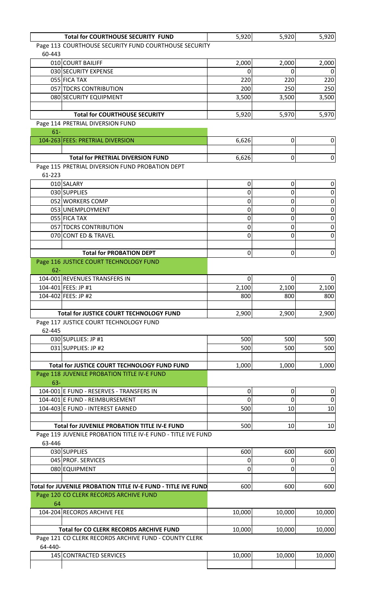|         | <b>Total for COURTHOUSE SECURITY FUND</b>                     | 5,920       | 5,920  | 5,920            |
|---------|---------------------------------------------------------------|-------------|--------|------------------|
|         | Page 113 COURTHOUSE SECURITY FUND COURTHOUSE SECURITY         |             |        |                  |
| 60-443  |                                                               |             |        |                  |
|         | 010 COURT BAILIFF                                             | 2,000       | 2,000  | 2,000            |
|         | 030 SECURITY EXPENSE                                          | 0           | 0      | $\mathbf 0$      |
|         | 055 FICA TAX                                                  | 220         | 220    | 220              |
|         | 057 TDCRS CONTRIBUTION                                        | 200         | 250    | 250              |
|         | 080 SECURITY EQUIPMENT                                        | 3,500       | 3,500  | 3,500            |
|         |                                                               |             |        |                  |
|         | <b>Total for COURTHOUSE SECURITY</b>                          | 5,920       | 5,970  | 5,970            |
|         | Page 114 PRETRIAL DIVERSION FUND                              |             |        |                  |
| $61-$   |                                                               |             |        |                  |
|         | 104-263 FEES: PRETRIAL DIVERSION                              | 6,626       | 0      | $\boldsymbol{0}$ |
|         | <b>Total for PRETRIAL DIVERSION FUND</b>                      |             |        |                  |
|         | Page 115 PRETRIAL DIVERSION FUND PROBATION DEPT               | 6,626       | 0      | $\overline{0}$   |
| 61-223  |                                                               |             |        |                  |
|         | 010 SALARY                                                    | $\mathbf 0$ | 0      | $\pmb{0}$        |
|         | 030 SUPPLIES                                                  | 0           | 0      | $\pmb{0}$        |
|         | 052 WORKERS COMP                                              | 0           | 0      | $\pmb{0}$        |
|         | 053 UNEMPLOYMENT                                              | 0           | 0      | $\pmb{0}$        |
|         | 055 FICA TAX                                                  | 0           | 0      | $\pmb{0}$        |
|         | 057 TDCRS CONTRIBUTION                                        | 0           |        | $\mathbf 0$      |
|         | 070 CONT ED & TRAVEL                                          | 0           | 0<br>0 | $\boldsymbol{0}$ |
|         |                                                               |             |        |                  |
|         | <b>Total for PROBATION DEPT</b>                               | 0           | 0      | $\pmb{0}$        |
|         | Page 116 JUSTICE COURT TECHNOLOGY FUND                        |             |        |                  |
| $62 -$  |                                                               |             |        |                  |
|         | 104-001 REVENUES TRANSFERS IN                                 | 0           | 0      | $\mathbf 0$      |
|         | 104-401 FEES: JP #1                                           | 2,100       | 2,100  | 2,100            |
|         | 104-402 FEES: JP #2                                           | 800         | 800    | 800              |
|         |                                                               |             |        |                  |
|         | <b>Total for JUSTICE COURT TECHNOLOGY FUND</b>                | 2,900       | 2,900  | 2,900            |
|         | Page 117 JUSTICE COURT TECHNOLOGY FUND                        |             |        |                  |
| 62-445  |                                                               |             |        |                  |
|         | 030 SUPLLIES: JP #1                                           | 500         | 500    | 500              |
|         | 031 SUPPLIES: JP #2                                           | 500         | 500    | 500              |
|         |                                                               |             |        |                  |
|         | Total for JUSTICE COURT TECHNOLOGY FUND FUND                  | 1,000       | 1,000  | 1,000            |
|         | Page 118 JUVENILE PROBATION TITLE IV-E FUND                   |             |        |                  |
| $63 -$  |                                                               |             |        |                  |
|         | 104-001 E FUND - RESERVES - TRANSFERS IN                      | $\mathbf 0$ | 0      | $\pmb{0}$        |
|         | 104-401 E FUND - REIMBURSEMENT                                | 0           | 0      | $\mathbf 0$      |
|         | 104-403 E FUND - INTEREST EARNED                              | 500         | 10     | 10               |
|         |                                                               |             |        |                  |
|         | Total for JUVENILE PROBATION TITLE IV-E FUND                  | 500         | 10     | 10               |
|         | Page 119 JUVENILE PROBATION TITLE IV-E FUND - TITLE IVE FUND  |             |        |                  |
| 63-446  |                                                               |             |        |                  |
|         | 030 SUPPLIES                                                  | 600         | 600    | 600              |
|         | 045 PROF. SERVICES                                            | 0           | 0      | $\pmb{0}$        |
|         | 080 EQUIPMENT                                                 | 0           | 0      | $\mathbf 0$      |
|         |                                                               |             |        |                  |
|         | Total for JUVENILE PROBATION TITLE IV-E FUND - TITLE IVE FUND | 600         | 600    | 600              |
|         | Page 120 CO CLERK RECORDS ARCHIVE FUND                        |             |        |                  |
| 64      |                                                               |             |        |                  |
|         | 104-204 RECORDS ARCHIVE FEE                                   | 10,000      | 10,000 | 10,000           |
|         |                                                               |             |        |                  |
|         | <b>Total for CO CLERK RECORDS ARCHIVE FUND</b>                | 10,000      | 10,000 | 10,000           |
|         | Page 121 CO CLERK RECORDS ARCHIVE FUND - COUNTY CLERK         |             |        |                  |
| 64-440- |                                                               |             |        |                  |
|         | 145 CONTRACTED SERVICES                                       | 10,000      | 10,000 | 10,000           |
|         |                                                               |             |        |                  |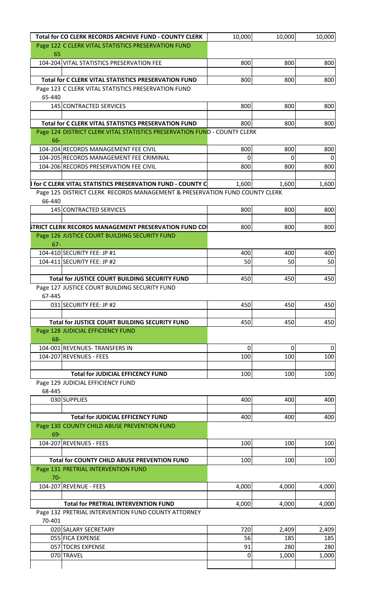|        | Total for CO CLERK RECORDS ARCHIVE FUND - COUNTY CLERK                      | 10,000   | 10,000   | 10,000                |
|--------|-----------------------------------------------------------------------------|----------|----------|-----------------------|
| 65     | Page 122 C CLERK VITAL STATISTICS PRESERVATION FUND                         |          |          |                       |
|        | 104-204 VITAL STATISTICS PRESERVATION FEE                                   | 800      | 800      | 800                   |
|        | Total for C CLERK VITAL STATISTICS PRESERVATION FUND                        | 800      | 800      | 800                   |
|        | Page 123 C CLERK VITAL STATISTICS PRESERVATION FUND                         |          |          |                       |
| 65-440 |                                                                             |          |          |                       |
|        | 145 CONTRACTED SERVICES                                                     | 800      | 800      | 800                   |
|        |                                                                             |          |          |                       |
|        | <b>Total for C CLERK VITAL STATISTICS PRESERVATION FUND</b>                 | 800      | 800      | 800                   |
| 66-    | Page 124 DISTRICT CLERK VITAL STATISTICS PRESERVATION FUND - COUNTY CLERK   |          |          |                       |
|        | 104-204 RECORDS MANAGEMENT FEE CIVIL                                        | 800      | 800      | 800                   |
|        | 104-205 RECORDS MANAGEMENT FEE CRIMINAL                                     | 0        | O        | $\Omega$              |
|        | 104-206 RECORDS PRESERVATION FEE CIVIL                                      | 800      | 800      | 800                   |
|        | for C CLERK VITAL STATISTICS PRESERVATION FUND - COUNTY C                   | 1,600    | 1,600    | 1,600                 |
|        | Page 125 DISTRICT CLERK RECORDS MANAGEMENT & PRESERVATION FUND COUNTY CLERK |          |          |                       |
| 66-440 |                                                                             |          |          |                       |
|        | 145 CONTRACTED SERVICES                                                     | 800      | 800      | 800                   |
|        |                                                                             |          |          |                       |
|        | STRICT CLERK RECORDS MANAGEMENT PRESERVATION FUND CO                        | 800      | 800      | 800                   |
| $67 -$ | Page 126 JUSTICE COURT BUILDING SECURITY FUND                               |          |          |                       |
|        | 104-410 SECURITY FEE: JP #1                                                 | 400      | 400      | 400                   |
|        | 104-411 SECURITY FEE: JP #2                                                 | 50       | 50       | 50                    |
|        |                                                                             |          |          |                       |
|        | <b>Total for JUSTICE COURT BUILDING SECURITY FUND</b>                       | 450      | 450      | 450                   |
|        | Page 127 JUSTICE COURT BUILDING SECURITY FUND                               |          |          |                       |
| 67-445 |                                                                             |          |          |                       |
|        | 031 SECURITY FEE: JP #2                                                     | 450      | 450      | 450                   |
|        |                                                                             |          |          |                       |
|        | Total for JUSTICE COURT BUILDING SECURITY FUND                              | 450      | 450      | 450                   |
|        | Page 128 JUDICIAL EFFICIENCY FUND                                           |          |          |                       |
| 68-    |                                                                             |          |          |                       |
|        | 104-001 REVENUES- TRANSFERS IN<br>104-207 REVENUES - FEES                   | 0<br>100 | 0<br>100 | $\overline{0}$<br>100 |
|        |                                                                             |          |          |                       |
|        | <b>Total for JUDICIAL EFFICENCY FUND</b>                                    | 100      | 100      | 100                   |
|        | Page 129 JUDICIAL EFFICIENCY FUND                                           |          |          |                       |
| 68-445 |                                                                             |          |          |                       |
|        | 030 SUPPLIES                                                                | 400      | 400      | 400                   |
|        |                                                                             |          |          |                       |
|        | <b>Total for JUDICIAL EFFICENCY FUND</b>                                    | 400      | 400      | 400                   |
| 69-    | Page 130 COUNTY CHILD ABUSE PREVENTION FUND                                 |          |          |                       |
|        | 104-207 REVENUES - FEES                                                     | 100      | 100      | 100                   |
|        | <b>Total for COUNTY CHILD ABUSE PREVENTION FUND</b>                         | 100      | 100      | 100                   |
|        | Page 131 PRETRIAL INTERVENTION FUND                                         |          |          |                       |
| $70-$  |                                                                             |          |          |                       |
|        | 104-207 REVENUE - FEES                                                      | 4,000    | 4,000    | 4,000                 |
|        |                                                                             |          |          |                       |
|        | <b>Total for PRETRIAL INTERVENTION FUND</b>                                 | 4,000    | 4,000    | 4,000                 |
|        | Page 132 PRETRIAL INTERVENTION FUND COUNTY ATTORNEY                         |          |          |                       |
| 70-401 |                                                                             |          |          |                       |
|        | 020 SALARY SECRETARY                                                        | 720      | 2,409    | 2,409                 |
|        | 055 FICA EXPENSE                                                            | 56       | 185      | 185                   |
|        | 057 TDCRS EXPENSE                                                           | 91       | 280      | 280                   |
|        | 070 TRAVEL                                                                  | 0        | 1,000    | 1,000                 |
|        |                                                                             |          |          |                       |
|        |                                                                             |          |          |                       |